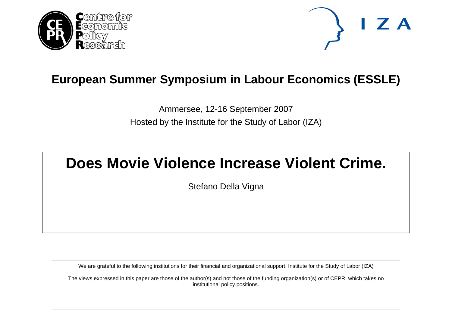



# **European Summer Symposium in Labour Economics (ESSLE)**

Ammersee, 12-16 September 2007 Hosted by the Institute for the Study of Labor (IZA)

# **Does Movie Violence Increase Violent Crime.**

Stefano Della Vigna

We are grateful to the following institutions for their financial and organizational support: Institute for the Study of Labor (IZA)

The views expressed in this paper are those of the author(s) and not those of the funding organization(s) or of CEPR, which takes no institutional policy positions.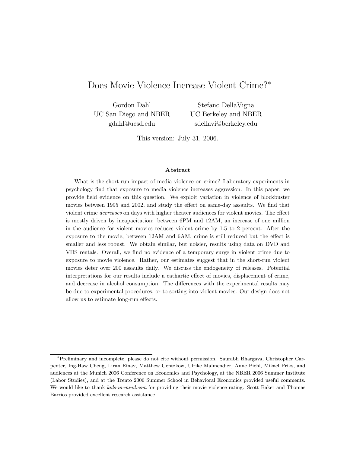# Does Movie Violence Increase Violent Crime?<sup>∗</sup>

Gordon Dahl UC San Diego and NBER gdahl@ucsd.edu

Stefano DellaVigna UC Berkeley and NBER sdellavi@berkeley.edu

This version: July 31, 2006.

#### Abstract

What is the short-run impact of media violence on crime? Laboratory experiments in psychology find that exposure to media violence increases aggression. In this paper, we provide field evidence on this question. We exploit variation in violence of blockbuster movies between 1995 and 2002, and study the effect on same-day assaults. We find that violent crime decreases on days with higher theater audiences for violent movies. The effect is mostly driven by incapacitation: between 6PM and 12AM, an increase of one million in the audience for violent movies reduces violent crime by 1.5 to 2 percent. After the exposure to the movie, between 12AM and 6AM, crime is still reduced but the effect is smaller and less robust. We obtain similar, but noisier, results using data on DVD and VHS rentals. Overall, we find no evidence of a temporary surge in violent crime due to exposure to movie violence. Rather, our estimates suggest that in the short-run violent movies deter over 200 assaults daily. We discuss the endogeneity of releases. Potential interpretations for our results include a cathartic effect of movies, displacement of crime, and decrease in alcohol consumption. The differences with the experimental results may be due to experimental procedures, or to sorting into violent movies. Our design does not allow us to estimate long-run effects.

<sup>∗</sup>Preliminary and incomplete, please do not cite without permission. Saurabh Bhargava, Christopher Carpenter, Ing-Haw Cheng, Liran Einav, Matthew Gentzkow, Ulrike Malmendier, Anne Piehl, Mikael Priks, and audiences at the Munich 2006 Conference on Economics and Psychology, at the NBER 2006 Summer Institute (Labor Studies), and at the Trento 2006 Summer School in Behavioral Economics provided useful comments. We would like to thank kids-in-mind.com for providing their movie violence rating. Scott Baker and Thomas Barrios provided excellent research assistance.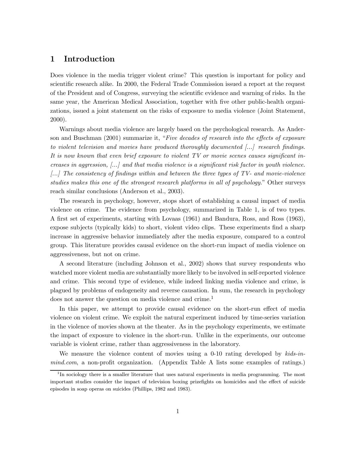## 1 Introduction

Does violence in the media trigger violent crime? This question is important for policy and scientific research alike. In 2000, the Federal Trade Commission issued a report at the request of the President and of Congress, surveying the scientific evidence and warning of risks. In the same year, the American Medical Association, together with five other public-health organizations, issued a joint statement on the risks of exposure to media violence (Joint Statement, 2000).

Warnings about media violence are largely based on the psychological research. As Anderson and Buschman (2001) summarize it, "Five decades of research into the effects of exposure to violent television and movies have produced thoroughly documented  $\left\lfloor ... \right\rfloor$  research findings. It is now known that even brief exposure to violent TV or movie scenes causes significant increases in aggression, [...] and that media violence is a significant risk factor in youth violence. [...] The consistency of findings within and between the three types of TV- and movie-violence studies makes this one of the strongest research platforms in all of psychology." Other surveys reach similar conclusions (Anderson et al., 2003).

The research in psychology, however, stops short of establishing a causal impact of media violence on crime. The evidence from psychology, summarized in Table 1, is of two types. A first set of experiments, starting with Lovaas (1961) and Bandura, Ross, and Ross (1963), expose subjects (typically kids) to short, violent video clips. These experiments find a sharp increase in aggressive behavior immediately after the media exposure, compared to a control group. This literature provides causal evidence on the short-run impact of media violence on aggressiveness, but not on crime.

A second literature (including Johnson et al., 2002) shows that survey respondents who watched more violent media are substantially more likely to be involved in self-reported violence and crime. This second type of evidence, while indeed linking media violence and crime, is plagued by problems of endogeneity and reverse causation. In sum, the research in psychology does not answer the question on media violence and crime.<sup>1</sup>

In this paper, we attempt to provide causal evidence on the short-run effect of media violence on violent crime. We exploit the natural experiment induced by time-series variation in the violence of movies shown at the theater. As in the psychology experiments, we estimate the impact of exposure to violence in the short-run. Unlike in the experiments, our outcome variable is violent crime, rather than aggressiveness in the laboratory.

We measure the violence content of movies using a  $0-10$  rating developed by  $kids-in$ mind.com, a non-profit organization. (Appendix Table A lists some examples of ratings.)

<sup>&</sup>lt;sup>1</sup>In sociology there is a smaller literature that uses natural experiments in media programming. The most important studies consider the impact of television boxing prizefights on homicides and the effect of suicide episodes in soap operas on suicides (Phillips, 1982 and 1983).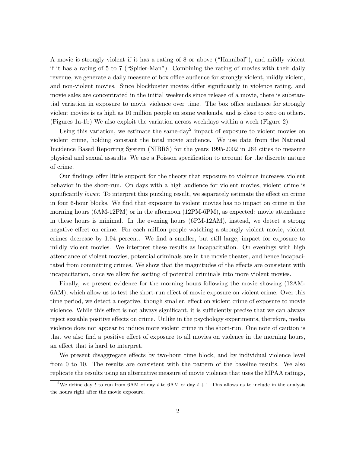A movie is strongly violent if it has a rating of 8 or above ("Hannibal"), and mildly violent if it has a rating of 5 to 7 ("Spider-Man"). Combining the rating of movies with their daily revenue, we generate a daily measure of box office audience for strongly violent, mildly violent, and non-violent movies. Since blockbuster movies differ significantly in violence rating, and movie sales are concentrated in the initial weekends since release of a movie, there is substantial variation in exposure to movie violence over time. The box office audience for strongly violent movies is as high as 10 million people on some weekends, and is close to zero on others. (Figures 1a-1b) We also exploit the variation across weekdays within a week (Figure 2).

Using this variation, we estimate the same-day<sup>2</sup> impact of exposure to violent movies on violent crime, holding constant the total movie audience. We use data from the National Incidence Based Reporting System (NIBRS) for the years 1995-2002 in 264 cities to measure physical and sexual assaults. We use a Poisson specification to account for the discrete nature of crime.

Our findings offer little support for the theory that exposure to violence increases violent behavior in the short-run. On days with a high audience for violent movies, violent crime is significantly *lower*. To interpret this puzzling result, we separately estimate the effect on crime in four 6-hour blocks. We find that exposure to violent movies has no impact on crime in the morning hours (6AM-12PM) or in the afternoon (12PM-6PM), as expected: movie attendance in these hours is minimal. In the evening hours (6PM-12AM), instead, we detect a strong negative effect on crime. For each million people watching a strongly violent movie, violent crimes decrease by 1.94 percent. We find a smaller, but still large, impact for exposure to mildly violent movies. We interpret these results as incapacitation. On evenings with high attendance of violent movies, potential criminals are in the movie theater, and hence incapacitated from committing crimes. We show that the magnitudes of the effects are consistent with incapacitation, once we allow for sorting of potential criminals into more violent movies.

Finally, we present evidence for the morning hours following the movie showing (12AM-6AM), which allow us to test the short-run effect of movie exposure on violent crime. Over this time period, we detect a negative, though smaller, effect on violent crime of exposure to movie violence. While this effect is not always significant, it is sufficiently precise that we can always reject sizeable positive effects on crime. Unlike in the psychology experiments, therefore, media violence does not appear to induce more violent crime in the short-run. One note of caution is that we also find a positive effect of exposure to all movies on violence in the morning hours, an effect that is hard to interpret.

We present disaggregate effects by two-hour time block, and by individual violence level from 0 to 10. The results are consistent with the pattern of the baseline results. We also replicate the results using an alternative measure of movie violence that uses the MPAA ratings,

<sup>&</sup>lt;sup>2</sup>We define day t to run from 6AM of day t to 6AM of day  $t + 1$ . This allows us to include in the analysis the hours right after the movie exposure.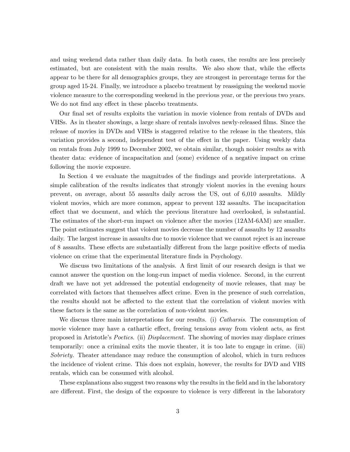and using weekend data rather than daily data. In both cases, the results are less precisely estimated, but are consistent with the main results. We also show that, while the effects appear to be there for all demographics groups, they are strongest in percentage terms for the group aged 15-24. Finally, we introduce a placebo treatment by reassigning the weekend movie violence measure to the corresponding weekend in the previous year, or the previous two years. We do not find any effect in these placebo treatments.

Our final set of results exploits the variation in movie violence from rentals of DVDs and VHSs. As in theater showings, a large share of rentals involves newly-released films. Since the release of movies in DVDs and VHSs is staggered relative to the release in the theaters, this variation provides a second, independent test of the effect in the paper. Using weekly data on rentals from July 1999 to December 2002, we obtain similar, though noisier results as with theater data: evidence of incapacitation and (some) evidence of a negative impact on crime following the movie exposure.

In Section 4 we evaluate the magnitudes of the findings and provide interpretations. A simple calibration of the results indicates that strongly violent movies in the evening hours prevent, on average, about 55 assaults daily across the US, out of 6,010 assaults. Mildly violent movies, which are more common, appear to prevent 132 assaults. The incapacitation effect that we document, and which the previous literature had overlooked, is substantial. The estimates of the short-run impact on violence after the movies (12AM-6AM) are smaller. The point estimates suggest that violent movies decrease the number of assaults by 12 assaults daily. The largest increase in assaults due to movie violence that we cannot reject is an increase of 8 assaults. These effects are substantially different from the large positive effects of media violence on crime that the experimental literature finds in Psychology.

We discuss two limitations of the analysis. A first limit of our research design is that we cannot answer the question on the long-run impact of media violence. Second, in the current draft we have not yet addressed the potential endogeneity of movie releases, that may be correlated with factors that themselves affect crime. Even in the presence of such correlation, the results should not be affected to the extent that the correlation of violent movies with these factors is the same as the correlation of non-violent movies.

We discuss three main interpretations for our results. (i) *Catharsis*. The consumption of movie violence may have a cathartic effect, freeing tensions away from violent acts, as first proposed in Aristotle's Poetics. (ii) Displacement. The showing of movies may displace crimes temporarily: once a criminal exits the movie theater, it is too late to engage in crime. (iii) Sobriety. Theater attendance may reduce the consumption of alcohol, which in turn reduces the incidence of violent crime. This does not explain, however, the results for DVD and VHS rentals, which can be consumed with alcohol.

These explanations also suggest two reasons why the results in the field and in the laboratory are different. First, the design of the exposure to violence is very different in the laboratory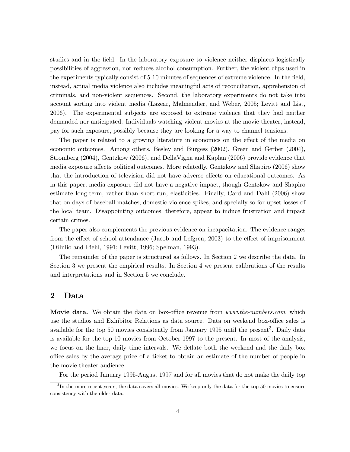studies and in the field. In the laboratory exposure to violence neither displaces logistically possibilities of aggression, nor reduces alcohol consumption. Further, the violent clips used in the experiments typically consist of 5-10 minutes of sequences of extreme violence. In the field, instead, actual media violence also includes meaningful acts of reconciliation, apprehension of criminals, and non-violent sequences. Second, the laboratory experiments do not take into account sorting into violent media (Lazear, Malmendier, and Weber, 2005; Levitt and List, 2006). The experimental subjects are exposed to extreme violence that they had neither demanded nor anticipated. Individuals watching violent movies at the movie theater, instead, pay for such exposure, possibly because they are looking for a way to channel tensions.

The paper is related to a growing literature in economics on the effect of the media on economic outcomes. Among others, Besley and Burgess (2002), Green and Gerber (2004), Stromberg (2004), Gentzkow (2006), and DellaVigna and Kaplan (2006) provide evidence that media exposure affects political outcomes. More relatedly, Gentzkow and Shapiro (2006) show that the introduction of television did not have adverse effects on educational outcomes. As in this paper, media exposure did not have a negative impact, though Gentzkow and Shapiro estimate long-term, rather than short-run, elasticities. Finally, Card and Dahl (2006) show that on days of baseball matches, domestic violence spikes, and specially so for upset losses of the local team. Disappointing outcomes, therefore, appear to induce frustration and impact certain crimes.

The paper also complements the previous evidence on incapacitation. The evidence ranges from the effect of school attendance (Jacob and Lefgren, 2003) to the effect of imprisonment (DiIulio and Piehl, 1991; Levitt, 1996; Spelman, 1993).

The remainder of the paper is structured as follows. In Section 2 we describe the data. In Section 3 we present the empirical results. In Section 4 we present calibrations of the results and interpretations and in Section 5 we conclude.

#### 2 Data

Movie data. We obtain the data on box-office revenue from *www.the-numbers.com*, which use the studios and Exhibitor Relations as data source. Data on weekend box-office sales is available for the top 50 movies consistently from January 1995 until the present<sup>3</sup>. Daily data is available for the top 10 movies from October 1997 to the present. In most of the analysis, we focus on the finer, daily time intervals. We deflate both the weekend and the daily box office sales by the average price of a ticket to obtain an estimate of the number of people in the movie theater audience.

For the period January 1995-August 1997 and for all movies that do not make the daily top

<sup>&</sup>lt;sup>3</sup>In the more recent years, the data covers all movies. We keep only the data for the top 50 movies to ensure consistency with the older data.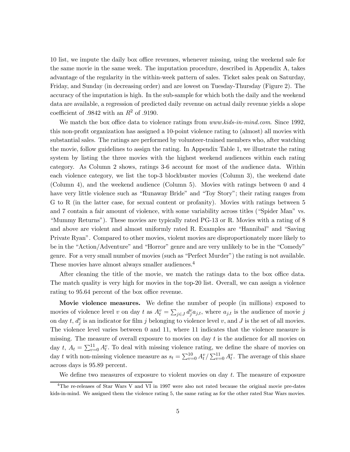10 list, we impute the daily box office revenues, whenever missing, using the weekend sale for the same movie in the same week. The imputation procedure, described in Appendix A, takes advantage of the regularity in the within-week pattern of sales. Ticket sales peak on Saturday, Friday, and Sunday (in decreasing order) and are lowest on Tuesday-Thursday (Figure 2). The accuracy of the imputation is high. In the sub-sample for which both the daily and the weekend data are available, a regression of predicted daily revenue on actual daily revenue yields a slope coefficient of .9842 with an  $R^2$  of .9190.

We match the box office data to violence ratings from *www.kids-in-mind.com*. Since 1992, this non-profit organization has assigned a 10-point violence rating to (almost) all movies with substantial sales. The ratings are performed by volunteer-trained members who, after watching the movie, follow guidelines to assign the rating. In Appendix Table 1, we illustrate the rating system by listing the three movies with the highest weekend audiences within each rating category. As Column 2 shows, ratings 3-6 account for most of the audience data. Within each violence category, we list the top-3 blockbuster movies (Column 3), the weekend date (Column 4), and the weekend audience (Column 5). Movies with ratings between 0 and 4 have very little violence such as "Runaway Bride" and "Toy Story"; their rating ranges from G to R (in the latter case, for sexual content or profanity). Movies with ratings between 5 and 7 contain a fair amount of violence, with some variability across titles ("Spider Man" vs. "Mummy Returns"). These movies are typically rated PG-13 or R. Movies with a rating of 8 and above are violent and almost uniformly rated R. Examples are "Hannibal" and "Saving Private Ryan". Compared to other movies, violent movies are disproportionately more likely to be in the "Action/Adventure" and "Horror" genre and are very unlikely to be in the "Comedy" genre. For a very small number of movies (such as "Perfect Murder") the rating is not available. These movies have almost always smaller audiences.<sup>4</sup>

After cleaning the title of the movie, we match the ratings data to the box office data. The match quality is very high for movies in the top-20 list. Overall, we can assign a violence rating to 95.64 percent of the box office revenue.

**Movie violence measures.** We define the number of people (in millions) exposed to movies of violence level v on day t as  $A_t^v = \sum_{j \in J} d_j^v a_{j,t}$ , where  $a_{j,t}$  is the audience of movie j on day t,  $d_j^v$  is an indicator for film j belonging to violence level v, and J is the set of all movies. The violence level varies between 0 and 11, where 11 indicates that the violence measure is missing. The measure of overall exposure to movies on day  $t$  is the audience for all movies on day t,  $A_t = \sum_{v=0}^{11} A_t^v$ . To deal with missing violence rating, we define the share of movies on day t with non-missing violence measure as  $s_t = \sum_{v=0}^{10} A_t^v / \sum_{v=0}^{11} A_t^v$ . The average of this share across days is 95.89 percent.

We define two measures of exposure to violent movies on day t. The measure of exposure

<sup>&</sup>lt;sup>4</sup>The re-releases of Star Wars V and VI in 1997 were also not rated because the original movie pre-dates kids-in-mind. We assigned them the violence rating 5, the same rating as for the other rated Star Wars movies.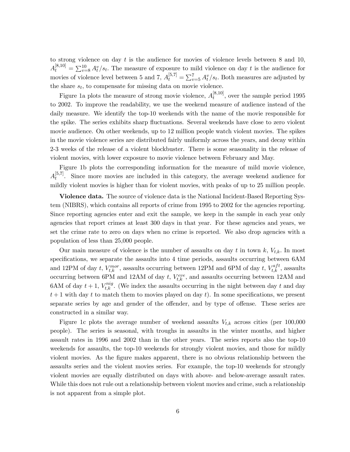to strong violence on day  $t$  is the audience for movies of violence levels between  $8$  and  $10$ ,  $A_t^{[8,10]} = \sum_{v=8}^{10} A_t^v / s_t$ . The measure of exposure to mild violence on day t is the audience for movies of violence level between 5 and 7,  $A_t^{[5,7]} = \sum_{v=5}^{7} A_t^v/s_t$ . Both measures are adjusted by the share  $s_t$ , to compensate for missing data on movie violence.

Figure 1a plots the measure of strong movie violence,  $A_t^{[8,10]}$ , over the sample period 1995 to 2002. To improve the readability, we use the weekend measure of audience instead of the daily measure. We identify the top-10 weekends with the name of the movie responsible for the spike. The series exhibits sharp fluctuations. Several weekends have close to zero violent movie audience. On other weekends, up to 12 million people watch violent movies. The spikes in the movie violence series are distributed fairly uniformly across the years, and decay within 2-3 weeks of the release of a violent blockbuster. There is some seasonality in the release of violent movies, with lower exposure to movie violence between February and May.

Figure 1b plots the corresponding information for the measure of mild movie violence,  $A_t^{[5,7]}$ . Since more movies are included in this category, the average weekend audience for mildly violent movies is higher than for violent movies, with peaks of up to 25 million people.

Violence data. The source of violence data is the National Incident-Based Reporting System (NIBRS), which contains all reports of crime from 1995 to 2002 for the agencies reporting. Since reporting agencies enter and exit the sample, we keep in the sample in each year only agencies that report crimes at least 300 days in that year. For these agencies and years, we set the crime rate to zero on days when no crime is reported. We also drop agencies with a population of less than 25,000 people.

Our main measure of violence is the number of assaults on day t in town  $k$ ,  $V_{t,k}$ . In most specifications, we separate the assaults into 4 time periods, assaults occurring between 6AM and 12PM of day t,  $V_{t,k}^{mor}$ , assaults occurring between 12PM and 6PM of day t,  $V_{t,k}^{aft}$ , assaults occurring between 6PM and 12AM of day  $t$ ,  $V_{t,k}^{eve}$ , and assaults occurring between 12AM and 6AM of day  $t + 1$ ,  $V_{t,k}^{nig}$ . (We index the assaults occurring in the night between day t and day  $t+1$  with day t to match them to movies played on day t). In some specifications, we present separate series by age and gender of the offender, and by type of offense. These series are constructed in a similar way.

Figure 1c plots the average number of weekend assaults  $V_{t,k}$  across cities (per 100,000 people). The series is seasonal, with troughs in assaults in the winter months, and higher assault rates in 1996 and 2002 than in the other years. The series reports also the top-10 weekends for assaults, the top-10 weekends for strongly violent movies, and those for mildly violent movies. As the figure makes apparent, there is no obvious relationship between the assaults series and the violent movies series. For example, the top-10 weekends for strongly violent movies are equally distributed on days with above- and below-average assault rates. While this does not rule out a relationship between violent movies and crime, such a relationship is not apparent from a simple plot.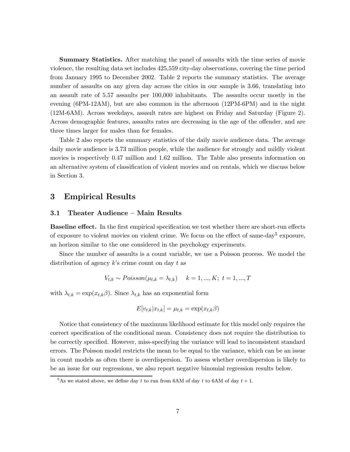**Summary Statistics.** After matching the panel of assaults with the time series of movie violence, the resulting data set includes 425,559 city-day observations, covering the time period from January 1995 to December 2002. Table 2 reports the summary statistics. The average number of assaults on any given day across the cities in our sample is 3.66, translating into an assault rate of 5.57 assaults per 100,000 inhabitants. The assaults occur mostly in the evening (6PM-12AM), but are also common in the afternoon (12PM-6PM) and in the night (12M-6AM). Across weekdays, assault rates are highest on Friday and Saturday (Figure 2). Across demographic features, assaults rates are decreasing in the age of the offender, and are three times larger for males than for females.

Table 2 also reports the summary statistics of the daily movie audience data. The average daily movie audience is 3.73 million people, while the audience for strongly and mildly violent movies is respectively 0.47 million and 1.62 million. The Table also presents information on an alternative system of classification of violent movies and on rentals, which we discuss below in Section 3.

#### 3 Empirical Results

#### 3.1 Theater Audience — Main Results

**Baseline effect.** In the first empirical specification we test whether there are short-run effects of exposure to violent movies on violent crime. We focus on the effect of same-day<sup>5</sup> exposure, an horizon similar to the one considered in the psychology experiments.

Since the number of assaults is a count variable, we use a Poisson process. We model the distribution of agency  $k$ 's crime count on day  $t$  as

$$
V_{t,k} \sim Poisson(\mu_{t,k} = \lambda_{t,k}) \quad k = 1,...,K; \ t = 1,...,T
$$

with  $\lambda_{t,k} = \exp(x_{t,k}\beta)$ . Since  $\lambda_{t,k}$  has an exponential form

$$
E[v_{t,k}|x_{t,k}] = \mu_{t,k} = \exp(x_{t,k}\beta)
$$

Notice that consistency of the maximum likelihood estimate for this model only requires the correct specification of the conditional mean. Consistency does not require the distribution to be correctly specified. However, miss-specifying the variance will lead to inconsistent standard errors. The Poisson model restricts the mean to be equal to the variance, which can be an issue in count models as often there is overdispersion. To assess whether overdispersion is likely to be an issue for our regressions, we also report negative binomial regression results below.

<sup>&</sup>lt;sup>5</sup>As we stated above, we define day t to run from 6AM of day t to 6AM of day  $t + 1$ .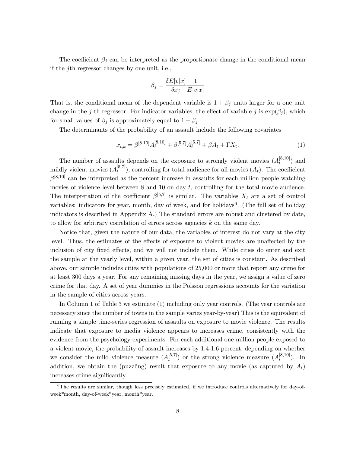The coefficient  $\beta_j$  can be interpreted as the proportionate change in the conditional mean if the jth regressor changes by one unit, i.e.,

$$
\beta_j = \frac{\delta E[v|x]}{\delta x_j} \frac{1}{E[v|x]}
$$

That is, the conditional mean of the dependent variable is  $1 + \beta_j$  units larger for a one unit change in the j-th regressor. For indicator variables, the effect of variable j is  $\exp(\beta_i)$ , which for small values of  $\beta_j$  is approximately equal to  $1 + \beta_j$ .

The determinants of the probability of an assault include the following covariates

$$
x_{t,k} = \beta^{[8,10]} A_t^{[8,10]} + \beta^{[5,7]} A_t^{[5,7]} + \beta A_t + \Gamma X_t.
$$
 (1)

The number of assaults depends on the exposure to strongly violent movies  $(A_t^{[8,10]})$  and mildly violent movies  $(A_t^{[5,7]})$ , controlling for total audience for all movies  $(A_t)$ . The coefficient  $\beta^{[8,10]}$  can be interpreted as the percent increase in assaults for each million people watching movies of violence level between  $8$  and  $10$  on day  $t$ , controlling for the total movie audience. The interpretation of the coefficient  $\beta^{[5,7]}$  is similar. The variables  $X_t$  are a set of control variables: indicators for year, month, day of week, and for holidays<sup>6</sup>. (The full set of holiday indicators is described in Appendix A.) The standard errors are robust and clustered by date, to allow for arbitrary correlation of errors across agencies k on the same day.

Notice that, given the nature of our data, the variables of interest do not vary at the city level. Thus, the estimates of the effects of exposure to violent movies are unaffected by the inclusion of city fixed effects, and we will not include them. While cities do enter and exit the sample at the yearly level, within a given year, the set of cities is constant. As described above, our sample includes cities with populations of 25,000 or more that report any crime for at least 300 days a year. For any remaining missing days in the year, we assign a value of zero crime for that day. A set of year dummies in the Poisson regressions accounts for the variation in the sample of cities across years.

In Column 1 of Table 3 we estimate (1) including only year controls. (The year controls are necessary since the number of towns in the sample varies year-by-year) This is the equivalent of running a simple time-series regression of assaults on exposure to movie violence. The results indicate that exposure to media violence appears to increases crime, consistently with the evidence from the psychology experiments. For each additional one million people exposed to a violent movie, the probability of assault increases by 1.4-1.6 percent, depending on whether we consider the mild violence measure  $(A_t^{[5,7]})$  or the strong violence measure  $(A_t^{[8,10]})$ . In addition, we obtain the (puzzling) result that exposure to any movie (as captured by  $A_t$ ) increases crime significantly.

 $6$ The results are similar, though less precisely estimated, if we introduce controls alternatively for day-ofweek\*month, day-of-week\*year, month\*year.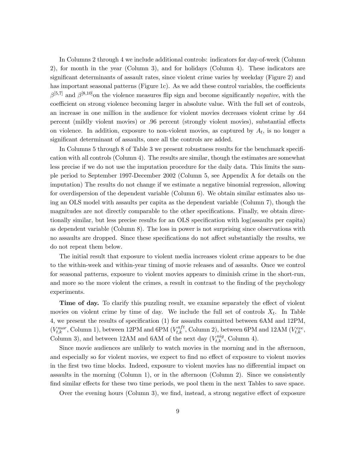In Columns 2 through 4 we include additional controls: indicators for day-of-week (Column 2), for month in the year (Column 3), and for holidays (Column 4). These indicators are significant determinants of assault rates, since violent crime varies by weekday (Figure 2) and has important seasonal patterns (Figure 1c). As we add these control variables, the coefficients  $\beta^{[5,7]}$  and  $\beta^{[8,10]}$ on the violence measures flip sign and become significantly *negative*, with the coefficient on strong violence becoming larger in absolute value. With the full set of controls, an increase in one million in the audience for violent movies decreases violent crime by .64 percent (mildly violent movies) or .96 percent (strongly violent movies), substantial effects on violence. In addition, exposure to non-violent movies, as captured by  $A_t$ , is no longer a significant determinant of assaults, once all the controls are added.

In Columns 5 through 8 of Table 3 we present robustness results for the benchmark specification with all controls (Column 4). The results are similar, though the estimates are somewhat less precise if we do not use the imputation procedure for the daily data. This limits the sample period to September 1997-December 2002 (Column 5, see Appendix A for details on the imputation) The results do not change if we estimate a negative binomial regression, allowing for overdispersion of the dependent variable (Column 6). We obtain similar estimates also using an OLS model with assaults per capita as the dependent variable (Column 7), though the magnitudes are not directly comparable to the other specifications. Finally, we obtain directionally similar, but less precise results for an OLS specification with log(assaults per capita) as dependent variable (Column 8). The loss in power is not surprising since observations with no assaults are dropped. Since these specifications do not affect substantially the results, we do not repeat them below.

The initial result that exposure to violent media increases violent crime appears to be due to the within-week and within-year timing of movie releases and of assaults. Once we control for seasonal patterns, exposure to violent movies appears to diminish crime in the short-run, and more so the more violent the crimes, a result in contrast to the finding of the psychology experiments.

**Time of day.** To clarify this puzzling result, we examine separately the effect of violent movies on violent crime by time of day. We include the full set of controls  $X_t$ . In Table 4, we present the results of specification (1) for assaults committed between 6AM and 12PM,  $(V_{t,k}^{mor},$  Column 1), between 12PM and 6PM  $(V_{t,k}^{aft},$  Column 2), between 6PM and 12AM  $(V_{t,k}^{eve},$ Column 3), and between 12AM and 6AM of the next day  $(V_{t,k}^{nig},$  Column 4).

Since movie audiences are unlikely to watch movies in the morning and in the afternoon, and especially so for violent movies, we expect to find no effect of exposure to violent movies in the first two time blocks. Indeed, exposure to violent movies has no differential impact on assaults in the morning (Column 1), or in the afternoon (Column 2). Since we consistently find similar effects for these two time periods, we pool them in the next Tables to save space.

Over the evening hours (Column 3), we find, instead, a strong negative effect of exposure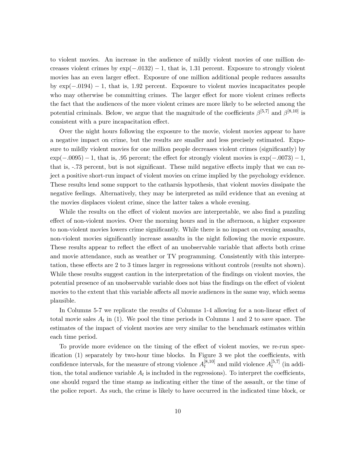to violent movies. An increase in the audience of mildly violent movies of one million decreases violent crimes by  $\exp(-.0132) - 1$ , that is, 1.31 percent. Exposure to strongly violent movies has an even larger effect. Exposure of one million additional people reduces assaults by exp(−.0194) − 1, that is, 1.92 percent. Exposure to violent movies incapacitates people who may otherwise be committing crimes. The larger effect for more violent crimes reflects the fact that the audiences of the more violent crimes are more likely to be selected among the potential criminals. Below, we argue that the magnitude of the coefficients  $\beta^{[5,7]}$  and  $\beta^{[8,10]}$  is consistent with a pure incapacitation effect.

Over the night hours following the exposure to the movie, violent movies appear to have a negative impact on crime, but the results are smaller and less precisely estimated. Exposure to mildly violent movies for one million people decreases violent crimes (significantly) by  $\exp(-.0095) - 1$ , that is, .95 percent; the effect for strongly violent movies is  $\exp(-.0073) - 1$ , that is, -.73 percent, but is not significant. These mild negative effects imply that we can reject a positive short-run impact of violent movies on crime implied by the psychology evidence. These results lend some support to the catharsis hypothesis, that violent movies dissipate the negative feelings. Alternatively, they may be interpreted as mild evidence that an evening at the movies displaces violent crime, since the latter takes a whole evening.

While the results on the effect of violent movies are interpretable, we also find a puzzling effect of non-violent movies. Over the morning hours and in the afternoon, a higher exposure to non-violent movies lowers crime significantly. While there is no impact on evening assaults, non-violent movies significantly increase assaults in the night following the movie exposure. These results appear to reflect the effect of an unobservable variable that affects both crime and movie attendance, such as weather or TV programming. Consistently with this interpretation, these effects are 2 to 3 times larger in regressions without controls (results not shown). While these results suggest caution in the interpretation of the findings on violent movies, the potential presence of an unobservable variable does not bias the findings on the effect of violent movies to the extent that this variable affects all movie audiences in the same way, which seems plausible.

In Columns 5-7 we replicate the results of Columns 1-4 allowing for a non-linear effect of total movie sales  $A_t$  in (1). We pool the time periods in Columns 1 and 2 to save space. The estimates of the impact of violent movies are very similar to the benchmark estimates within each time period.

To provide more evidence on the timing of the effect of violent movies, we re-run specification (1) separately by two-hour time blocks. In Figure 3 we plot the coefficients, with confidence intervals, for the measure of strong violence  $A_t^{[8,10]}$  and mild violence  $A_t^{[5,7]}$  (in addition, the total audience variable  $A_t$  is included in the regressions). To interpret the coefficients, one should regard the time stamp as indicating either the time of the assault, or the time of the police report. As such, the crime is likely to have occurred in the indicated time block, or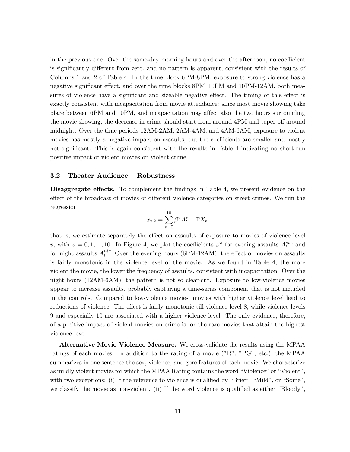in the previous one. Over the same-day morning hours and over the afternoon, no coefficient is significantly different from zero, and no pattern is apparent, consistent with the results of Columns 1 and 2 of Table 4. In the time block 6PM-8PM, exposure to strong violence has a negative significant effect, and over the time blocks 8PM—10PM and 10PM-12AM, both measures of violence have a significant and sizeable negative effect. The timing of this effect is exactly consistent with incapacitation from movie attendance: since most movie showing take place between 6PM and 10PM, and incapacitation may affect also the two hours surrounding the movie showing, the decrease in crime should start from around 4PM and taper off around midnight. Over the time periods 12AM-2AM, 2AM-4AM, and 4AM-6AM, exposure to violent movies has mostly a negative impact on assaults, but the coefficients are smaller and mostly not significant. This is again consistent with the results in Table 4 indicating no short-run positive impact of violent movies on violent crime.

#### 3.2 Theater Audience — Robustness

Disaggregate effects. To complement the findings in Table 4, we present evidence on the effect of the broadcast of movies of different violence categories on street crimes. We run the regression

$$
x_{t,k} = \sum_{v=0}^{10} \beta^v A_t^v + \Gamma X_t,
$$

that is, we estimate separately the effect on assaults of exposure to movies of violence level v, with  $v = 0, 1, ..., 10$ . In Figure 4, we plot the coefficients  $\beta^v$  for evening assaults  $A_t^{eve}$  and for night assaults  $A_t^{nig}$ . Over the evening hours (6PM-12AM), the effect of movies on assaults is fairly monotonic in the violence level of the movie. As we found in Table 4, the more violent the movie, the lower the frequency of assaults, consistent with incapacitation. Over the night hours (12AM-6AM), the pattern is not so clear-cut. Exposure to low-violence movies appear to increase assaults, probably capturing a time-series component that is not included in the controls. Compared to low-violence movies, movies with higher violence level lead to reductions of violence. The effect is fairly monotonic till violence level 8, while violence levels 9 and especially 10 are associated with a higher violence level. The only evidence, therefore, of a positive impact of violent movies on crime is for the rare movies that attain the highest violence level.

Alternative Movie Violence Measure. We cross-validate the results using the MPAA ratings of each movies. In addition to the rating of a movie ("R", "PG", etc.), the MPAA summarizes in one sentence the sex, violence, and gore features of each movie. We characterize as mildly violent movies for which the MPAA Rating contains the word "Violence" or "Violent", with two exceptions: (i) If the reference to violence is qualified by "Brief", "Mild", or "Some", we classify the movie as non-violent. (ii) If the word violence is qualified as either "Bloody",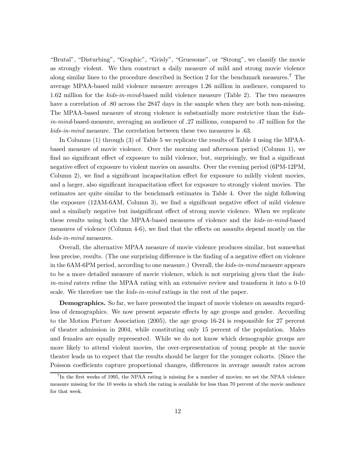"Brutal", "Disturbing", "Graphic", "Grisly", "Gruesome", or "Strong", we classify the movie as strongly violent. We then construct a daily measure of mild and strong movie violence along similar lines to the procedure described in Section 2 for the benchmark measures.<sup>7</sup> The average MPAA-based mild violence measure averages 1.26 million in audience, compared to 1.62 million for the kids-in-mind-based mild violence measure (Table 2). The two measures have a correlation of .80 across the 2847 days in the sample when they are both non-missing. The MPAA-based measure of strong violence is substantially more restrictive than the kidsin-mind-based-measure, averaging an audience of .27 millions, compared to .47 million for the kids-in-mind measure. The correlation between these two measures is .63.

In Columns (1) through (3) of Table 5 we replicate the results of Table 4 using the MPAAbased measure of movie violence. Over the morning and afternoon period (Column 1), we find no significant effect of exposure to mild violence, but, surprisingly, we find a significant negative effect of exposure to violent movies on assaults. Over the evening period (6PM-12PM, Column 2), we find a significant incapacitation effect for exposure to mildly violent movies, and a larger, also significant incapacitation effect for exposure to strongly violent movies. The estimates are quite similar to the benchmark estimates in Table 4. Over the night following the exposure (12AM-6AM, Column 3), we find a significant negative effect of mild violence and a similarly negative but insignificant effect of strong movie violence. When we replicate these results using both the MPAA-based measures of violence and the kids-in-mind-based measures of violence (Column 4-6), we find that the effects on assaults depend mostly on the kids-in-mind measures.

Overall, the alternative MPAA measure of movie violence produces similar, but somewhat less precise, results. (The one surprising difference is the finding of a negative effect on violence in the 6AM-6PM period, according to one measure.) Overall, the kids-in-mind measure appears to be a more detailed measure of movie violence, which is not surprising given that the kidsin-mind raters refine the MPAA rating with an extensive review and transform it into a 0-10 scale. We therefore use the kids-in-mind ratings in the rest of the paper.

Demographics. So far, we have presented the impact of movie violence on assaults regardless of demographics. We now present separate effects by age groups and gender. According to the Motion Picture Association (2005), the age group 16-24 is responsible for 27 percent of theater admission in 2004, while constituting only 15 percent of the population. Males and females are equally represented. While we do not know which demographic groups are more likely to attend violent movies, the over-representation of young people at the movie theater leads us to expect that the results should be larger for the younger cohorts. (Since the Poisson coefficients capture proportional changes, differences in average assault rates across

 ${}^{7}$ In the first weeks of 1995, the NPAA rating is missing for a number of movies; we set the NPAA violence measure missing for the 10 weeks in which the rating is available for less than 70 percent of the movie audience for that week.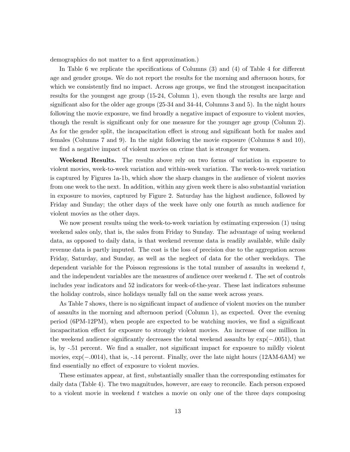demographics do not matter to a first approximation.)

In Table 6 we replicate the specifications of Columns (3) and (4) of Table 4 for different age and gender groups. We do not report the results for the morning and afternoon hours, for which we consistently find no impact. Across age groups, we find the strongest incapacitation results for the youngest age group (15-24, Column 1), even though the results are large and significant also for the older age groups (25-34 and 34-44, Columns 3 and 5). In the night hours following the movie exposure, we find broadly a negative impact of exposure to violent movies, though the result is significant only for one measure for the younger age group (Column 2). As for the gender split, the incapacitation effect is strong and significant both for males and females (Columns 7 and 9). In the night following the movie exposure (Columns 8 and 10), we find a negative impact of violent movies on crime that is stronger for women.

Weekend Results. The results above rely on two forms of variation in exposure to violent movies, week-to-week variation and within-week variation. The week-to-week variation is captured by Figures 1a-1b, which show the sharp changes in the audience of violent movies from one week to the next. In addition, within any given week there is also substantial variation in exposure to movies, captured by Figure 2. Saturday has the highest audience, followed by Friday and Sunday; the other days of the week have only one fourth as much audience for violent movies as the other days.

We now present results using the week-to-week variation by estimating expression (1) using weekend sales only, that is, the sales from Friday to Sunday. The advantage of using weekend data, as opposed to daily data, is that weekend revenue data is readily available, while daily revenue data is partly imputed. The cost is the loss of precision due to the aggregation across Friday, Saturday, and Sunday, as well as the neglect of data for the other weekdays. The dependent variable for the Poisson regressions is the total number of assaults in weekend  $t$ , and the independent variables are the measures of audience over weekend  $t$ . The set of controls includes year indicators and 52 indicators for week-of-the-year. These last indicators subsume the holiday controls, since holidays usually fall on the same week across years.

As Table 7 shows, there is no significant impact of audience of violent movies on the number of assaults in the morning and afternoon period (Column 1), as expected. Over the evening period (6PM-12PM), when people are expected to be watching movies, we find a significant incapacitation effect for exposure to strongly violent movies. An increase of one million in the weekend audience significantly decreases the total weekend assaults by exp(−.0051), that is, by -.51 percent. We find a smaller, not significant impact for exposure to mildly violent movies, exp(−.0014), that is, -.14 percent. Finally, over the late night hours (12AM-6AM) we find essentially no effect of exposure to violent movies.

These estimates appear, at first, substantially smaller than the corresponding estimates for daily data (Table 4). The two magnitudes, however, are easy to reconcile. Each person exposed to a violent movie in weekend t watches a movie on only one of the three days composing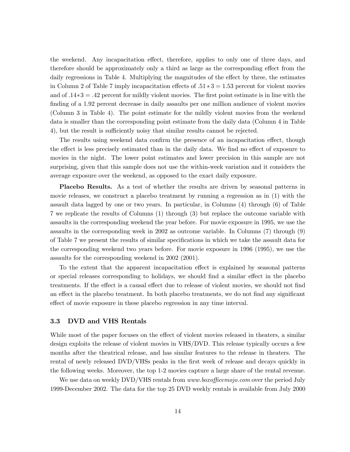the weekend. Any incapacitation effect, therefore, applies to only one of three days, and therefore should be approximately only a third as large as the corresponding effect from the daily regressions in Table 4. Multiplying the magnitudes of the effect by three, the estimates in Column 2 of Table 7 imply incapacitation effects of  $.51 * 3 = 1.53$  percent for violent movies and of .14∗3 = .42 percent for mildly violent movies. The first point estimate is in line with the finding of a 1.92 percent decrease in daily assaults per one million audience of violent movies (Column 3 in Table 4). The point estimate for the mildly violent movies from the weekend data is smaller than the corresponding point estimate from the daily data (Column 4 in Table 4), but the result is sufficiently noisy that similar results cannot be rejected.

The results using weekend data confirm the presence of an incapacitation effect, though the effect is less precisely estimated than in the daily data. We find no effect of exposure to movies in the night. The lower point estimates and lower precision in this sample are not surprising, given that this sample does not use the within-week variation and it considers the average exposure over the weekend, as opposed to the exact daily exposure.

Placebo Results. As a test of whether the results are driven by seasonal patterns in movie releases, we construct a placebo treatment by running a regression as in (1) with the assault data lagged by one or two years. In particular, in Columns (4) through (6) of Table 7 we replicate the results of Columns (1) through (3) but replace the outcome variable with assaults in the corresponding weekend the year before. For movie exposure in 1995, we use the assaults in the corresponding week in 2002 as outcome variable. In Columns (7) through (9) of Table 7 we present the results of similar specifications in which we take the assault data for the corresponding weekend two years before. For movie exposure in 1996 (1995), we use the assaults for the corresponding weekend in 2002 (2001).

To the extent that the apparent incapacitation effect is explained by seasonal patterns or special releases corresponding to holidays, we should find a similar effect in the placebo treatments. If the effect is a causal effect due to release of violent movies, we should not find an effect in the placebo treatment. In both placebo treatments, we do not find any significant effect of movie exposure in these placebo regression in any time interval.

#### 3.3 DVD and VHS Rentals

While most of the paper focuses on the effect of violent movies released in theaters, a similar design exploits the release of violent movies in VHS/DVD. This release typically occurs a few months after the theatrical release, and has similar features to the release in theaters. The rental of newly released DVD/VHSs peaks in the first week of release and decays quickly in the following weeks. Moreover, the top 1-2 movies capture a large share of the rental revenue.

We use data on weekly DVD/VHS rentals from *www.boxofficemojo.com* over the period July 1999-December 2002. The data for the top 25 DVD weekly rentals is available from July 2000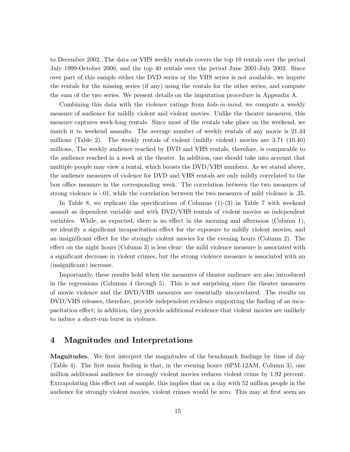to December 2002. The data on VHS weekly rentals covers the top 10 rentals over the period July 1999-October 2000, and the top 40 rentals over the period June 2001-July 2002. Since over part of this sample either the DVD series or the VHS series is not available, we impute the rentals for the missing series (if any) using the rentals for the other series, and compute the sum of the two series. We present details on the imputation procedure in Appendix A.

Combining this data with the violence ratings from kids-in-mind, we compute a weekly measure of audience for mildly violent and violent movies. Unlike the theater measures, this measure captures week-long rentals. Since most of the rentals take place on the weekend, we match it to weekend assaults. The average number of weekly rentals of any movie is 21.44 millions (Table 2). The weekly rentals of violent (mildly violent) movies are 3.71 (10.40) millions. The weekly audience reached by DVD and VHS rentals, therefore, is comparable to the audience reached in a week at the theater. In addition, one should take into account that multiple people may view a rental, which boosts the DVD/VHS numbers. As we stated above, the audience measures of violence for DVD and VHS rentals are only mildly correlated to the box office measure in the corresponding week. The correlation between the two measures of strong violence is -.01, while the correlation between the two measures of mild violence is .35.

In Table 8, we replicate the specifications of Columns (1)-(3) in Table 7 with weekend assault as dependent variable and with DVD/VHS rentals of violent movies as independent variables. While, as expected, there is no effect in the morning and afternoon (Column 1), we identify a significant incapacitation effect for the exposure to mildly violent movies, and an insignificant effect for the strongly violent movies for the evening hours (Column 2). The effect on the night hours (Column 3) is less clear: the mild violence measure is associated with a significant decrease in violent crimes, but the strong violence measure is associated with an (insignificant) increase.

Importantly, these results hold when the measures of theater audience are also introduced in the regressions (Columns 4 through 5). This is not surprising since the theater measures of movie violence and the DVD/VHS measures are essentially uncorrelated. The results on DVD/VHS releases, therefore, provide independent evidence supporting the finding of an incapacitation effect; in addition, they provide additional evidence that violent movies are unlikely to induce a short-run burst in violence.

#### 4 Magnitudes and Interpretations

Magnitudes. We first interpret the magnitudes of the benchmark findings by time of day (Table 4). The first main finding is that, in the evening hours (6PM-12AM, Column 3), one million additional audience for strongly violent movies reduces violent crime by 1.92 percent. Extrapolating this effect out of sample, this implies that on a day with 52 million people in the audience for strongly violent movies, violent crimes would be zero. This may at first seem an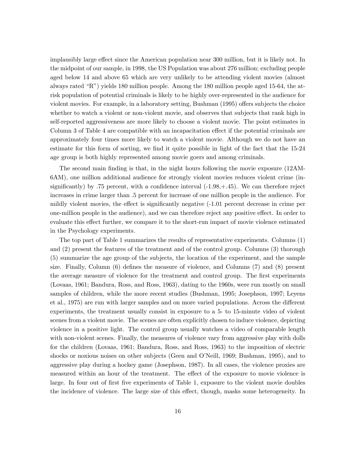implausibly large effect since the American population near 300 million, but it is likely not. In the midpoint of our sample, in 1998, the US Population was about 276 million; excluding people aged below 14 and above 65 which are very unlikely to be attending violent movies (almost always rated "R") yields 180 million people. Among the 180 million people aged 15-64, the atrisk population of potential criminals is likely to be highly over-represented in the audience for violent movies. For example, in a laboratory setting, Bushman (1995) offers subjects the choice whether to watch a violent or non-violent movie, and observes that subjects that rank high in self-reported aggressiveness are more likely to choose a violent movie. The point estimates in Column 3 of Table 4 are compatible with an incapacitation effect if the potential criminals are approximately four times more likely to watch a violent movie. Although we do not have an estimate for this form of sorting, we find it quite possible in light of the fact that the 15-24 age group is both highly represented among movie goers and among criminals.

The second main finding is that, in the night hours following the movie exposure (12AM-6AM), one million additional audience for strongly violent movies reduces violent crime (insignificantly) by .75 percent, with a confidence interval  $(-1.98, +0.45)$ . We can therefore reject increases in crime larger than .5 percent for increase of one million people in the audience. For mildly violent movies, the effect is significantly negative (-1.01 percent decrease in crime per one-million people in the audience), and we can therefore reject any positive effect. In order to evaluate this effect further, we compare it to the short-run impact of movie violence estimated in the Psychology experiments.

The top part of Table 1 summarizes the results of representative experiments. Columns (1) and (2) present the features of the treatment and of the control group. Columns (3) thorough (5) summarize the age group of the subjects, the location of the experiment, and the sample size. Finally, Column (6) defines the measure of violence, and Columns (7) and (8) present the average measure of violence for the treatment and control group. The first experiments (Lovaas, 1961; Bandura, Ross, and Ross, 1963), dating to the 1960s, were run mostly on small samples of children, while the more recent studies (Bushman, 1995; Josephson, 1997; Leyens et al., 1975) are run with larger samples and on more varied populations. Across the different experiments, the treatment usually consist in exposure to a 5- to 15-minute video of violent scenes from a violent movie. The scenes are often explicitly chosen to induce violence, depicting violence in a positive light. The control group usually watches a video of comparable length with non-violent scenes. Finally, the measures of violence vary from aggressive play with dolls for the children (Lovaas, 1961; Bandura, Ross, and Ross, 1963) to the imposition of electric shocks or noxious noises on other subjects (Geen and O'Neill, 1969; Bushman, 1995), and to aggressive play during a hockey game (Josephson, 1987). In all cases, the violence proxies are measured within an hour of the treatment. The effect of the exposure to movie violence is large. In four out of first five experiments of Table 1, exposure to the violent movie doubles the incidence of violence. The large size of this effect, though, masks some heterogeneity. In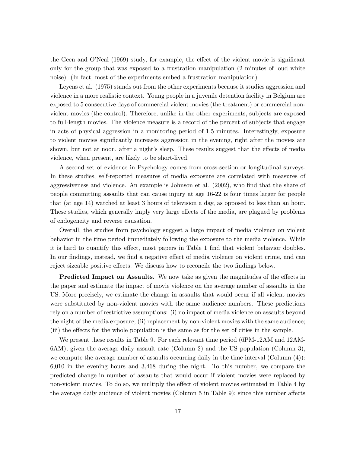the Geen and O'Neal (1969) study, for example, the effect of the violent movie is significant only for the group that was exposed to a frustration manipulation (2 minutes of loud white noise). (In fact, most of the experiments embed a frustration manipulation)

Leyens et al. (1975) stands out from the other experiments because it studies aggression and violence in a more realistic context. Young people in a juvenile detention facility in Belgium are exposed to 5 consecutive days of commercial violent movies (the treatment) or commercial nonviolent movies (the control). Therefore, unlike in the other experiments, subjects are exposed to full-length movies. The violence measure is a record of the percent of subjects that engage in acts of physical aggression in a monitoring period of 1.5 minutes. Interestingly, exposure to violent movies significantly increases aggression in the evening, right after the movies are shown, but not at noon, after a night's sleep. These results suggest that the effects of media violence, when present, are likely to be short-lived.

A second set of evidence in Psychology comes from cross-section or longitudinal surveys. In these studies, self-reported measures of media exposure are correlated with measures of aggressiveness and violence. An example is Johnson et al. (2002), who find that the share of people committing assaults that can cause injury at age 16-22 is four times larger for people that (at age 14) watched at least 3 hours of television a day, as opposed to less than an hour. These studies, which generally imply very large effects of the media, are plagued by problems of endogeneity and reverse causation.

Overall, the studies from psychology suggest a large impact of media violence on violent behavior in the time period immediately following the exposure to the media violence. While it is hard to quantify this effect, most papers in Table 1 find that violent behavior doubles. In our findings, instead, we find a negative effect of media violence on violent crime, and can reject sizeable positive effects. We discuss how to reconcile the two findings below.

**Predicted Impact on Assaults.** We now take as given the magnitudes of the effects in the paper and estimate the impact of movie violence on the average number of assaults in the US. More precisely, we estimate the change in assaults that would occur if all violent movies were substituted by non-violent movies with the same audience numbers. These predictions rely on a number of restrictive assumptions: (i) no impact of media violence on assaults beyond the night of the media exposure; (ii) replacement by non-violent movies with the same audience; (iii) the effects for the whole population is the same as for the set of cities in the sample.

We present these results in Table 9. For each relevant time period (6PM-12AM and 12AM-6AM), given the average daily assault rate (Column 2) and the US population (Column 3), we compute the average number of assaults occurring daily in the time interval (Column (4)): 6,010 in the evening hours and 3,468 during the night. To this number, we compare the predicted change in number of assaults that would occur if violent movies were replaced by non-violent movies. To do so, we multiply the effect of violent movies estimated in Table 4 by the average daily audience of violent movies (Column 5 in Table 9); since this number affects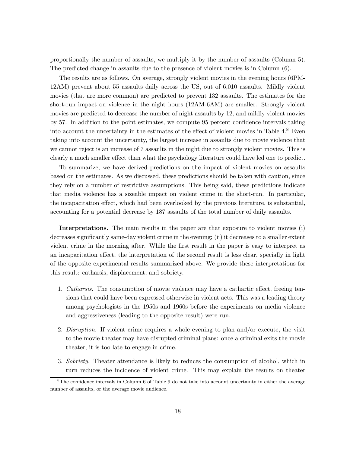proportionally the number of assaults, we multiply it by the number of assaults (Column 5). The predicted change in assaults due to the presence of violent movies is in Column (6).

The results are as follows. On average, strongly violent movies in the evening hours (6PM-12AM) prevent about 55 assaults daily across the US, out of 6,010 assaults. Mildly violent movies (that are more common) are predicted to prevent 132 assaults. The estimates for the short-run impact on violence in the night hours (12AM-6AM) are smaller. Strongly violent movies are predicted to decrease the number of night assaults by 12, and mildly violent movies by 57. In addition to the point estimates, we compute 95 percent confidence intervals taking into account the uncertainty in the estimates of the effect of violent movies in Table 4.<sup>8</sup> Even taking into account the uncertainty, the largest increase in assaults due to movie violence that we cannot reject is an increase of 7 assaults in the night due to strongly violent movies. This is clearly a much smaller effect than what the psychology literature could have led one to predict.

To summarize, we have derived predictions on the impact of violent movies on assaults based on the estimates. As we discussed, these predictions should be taken with caution, since they rely on a number of restrictive assumptions. This being said, these predictions indicate that media violence has a sizeable impact on violent crime in the short-run. In particular, the incapacitation effect, which had been overlooked by the previous literature, is substantial, accounting for a potential decrease by 187 assaults of the total number of daily assaults.

Interpretations. The main results in the paper are that exposure to violent movies (i) decreases significantly same-day violent crime in the evening; (ii) it decreases to a smaller extent violent crime in the morning after. While the first result in the paper is easy to interpret as an incapacitation effect, the interpretation of the second result is less clear, specially in light of the opposite experimental results summarized above. We provide these interpretations for this result: catharsis, displacement, and sobriety.

- 1. Catharsis. The consumption of movie violence may have a cathartic effect, freeing tensions that could have been expressed otherwise in violent acts. This was a leading theory among psychologists in the 1950s and 1960s before the experiments on media violence and aggressiveness (leading to the opposite result) were run.
- 2. Disruption. If violent crime requires a whole evening to plan and/or execute, the visit to the movie theater may have disrupted criminal plans: once a criminal exits the movie theater, it is too late to engage in crime.
- 3. Sobriety. Theater attendance is likely to reduces the consumption of alcohol, which in turn reduces the incidence of violent crime. This may explain the results on theater

<sup>8</sup>The confidence intervals in Column 6 of Table 9 do not take into account uncertainty in either the average number of assaults, or the average movie audience.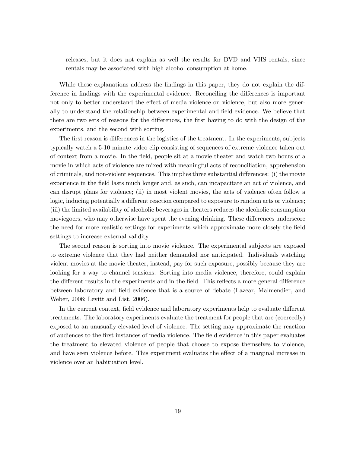releases, but it does not explain as well the results for DVD and VHS rentals, since rentals may be associated with high alcohol consumption at home.

While these explanations address the findings in this paper, they do not explain the difference in findings with the experimental evidence. Reconciling the differences is important not only to better understand the effect of media violence on violence, but also more generally to understand the relationship between experimental and field evidence. We believe that there are two sets of reasons for the differences, the first having to do with the design of the experiments, and the second with sorting.

The first reason is differences in the logistics of the treatment. In the experiments, subjects typically watch a 5-10 minute video clip consisting of sequences of extreme violence taken out of context from a movie. In the field, people sit at a movie theater and watch two hours of a movie in which acts of violence are mixed with meaningful acts of reconciliation, apprehension of criminals, and non-violent sequences. This implies three substantial differences: (i) the movie experience in the field lasts much longer and, as such, can incapacitate an act of violence, and can disrupt plans for violence; (ii) in most violent movies, the acts of violence often follow a logic, inducing potentially a different reaction compared to exposure to random acts or violence; (iii) the limited availability of alcoholic beverages in theaters reduces the alcoholic consumption moviegoers, who may otherwise have spent the evening drinking. These differences underscore the need for more realistic settings for experiments which approximate more closely the field settings to increase external validity.

The second reason is sorting into movie violence. The experimental subjects are exposed to extreme violence that they had neither demanded nor anticipated. Individuals watching violent movies at the movie theater, instead, pay for such exposure, possibly because they are looking for a way to channel tensions. Sorting into media violence, therefore, could explain the different results in the experiments and in the field. This reflects a more general difference between laboratory and field evidence that is a source of debate (Lazear, Malmendier, and Weber, 2006; Levitt and List, 2006).

In the current context, field evidence and laboratory experiments help to evaluate different treatments. The laboratory experiments evaluate the treatment for people that are (coercedly) exposed to an unusually elevated level of violence. The setting may approximate the reaction of audiences to the first instances of media violence. The field evidence in this paper evaluates the treatment to elevated violence of people that choose to expose themselves to violence, and have seen violence before. This experiment evaluates the effect of a marginal increase in violence over an habituation level.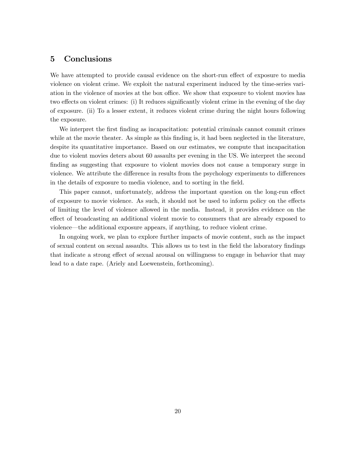#### 5 Conclusions

We have attempted to provide causal evidence on the short-run effect of exposure to media violence on violent crime. We exploit the natural experiment induced by the time-series variation in the violence of movies at the box office. We show that exposure to violent movies has two effects on violent crimes: (i) It reduces significantly violent crime in the evening of the day of exposure. (ii) To a lesser extent, it reduces violent crime during the night hours following the exposure.

We interpret the first finding as incapacitation: potential criminals cannot commit crimes while at the movie theater. As simple as this finding is, it had been neglected in the literature, despite its quantitative importance. Based on our estimates, we compute that incapacitation due to violent movies deters about 60 assaults per evening in the US. We interpret the second finding as suggesting that exposure to violent movies does not cause a temporary surge in violence. We attribute the difference in results from the psychology experiments to differences in the details of exposure to media violence, and to sorting in the field.

This paper cannot, unfortunately, address the important question on the long-run effect of exposure to movie violence. As such, it should not be used to inform policy on the effects of limiting the level of violence allowed in the media. Instead, it provides evidence on the effect of broadcasting an additional violent movie to consumers that are already exposed to violence–the additional exposure appears, if anything, to reduce violent crime.

In ongoing work, we plan to explore further impacts of movie content, such as the impact of sexual content on sexual assaults. This allows us to test in the field the laboratory findings that indicate a strong effect of sexual arousal on willingness to engage in behavior that may lead to a date rape. (Ariely and Loewenstein, forthcoming).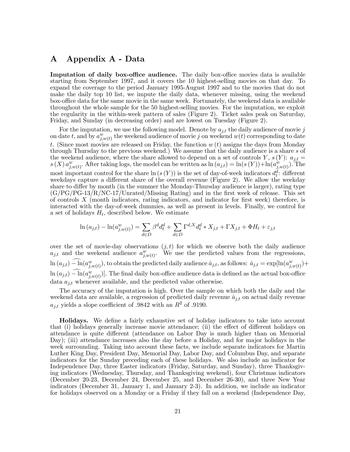# A Appendix A - Data

Imputation of daily box-office audience. The daily box-office movies data is available starting from September 1997, and it covers the 10 highest-selling movies on that day. To expand the coverage to the period January 1995-August 1997 and to the movies that do not make the daily top 10 list, we impute the daily data, whenever missing, using the weekend box-office data for the same movie in the same week. Fortunately, the weekend data is available throughout the whole sample for the 50 highest-selling movies. For the imputation, we exploit the regularity in the within-week pattern of sales (Figure 2). Ticket sales peak on Saturday, Friday, and Sunday (in decreasing order) and are lowest on Tuesday (Figure 2).

For the imputation, we use the following model. Denote by  $a_{j,t}$  the daily audience of movie j on date t, and by  $a_{j,w(t)}^w$  the weekend audience of movie j on weekend  $w(t)$  corresponding to date t. (Since most movies are released on Friday, the function  $w(t)$  assigns the days from Monday through Thursday to the previous weekend.) We assume that the daily audience is a share s of the weekend audience, where the share allowed to depend on a set of controls Y,  $s(Y)$ :  $a_{j,t}$  =  $s(X) a_{j,w(t)}^w$ . After taking logs, the model can be written as  $\ln(a_{j,t}) = \ln(s(Y)) + \ln(a_{j,w(t)}^w)$ . The most important control for the share  $\ln(s(Y))$  is the set of day-of-week indicators  $d_t^d$ : different weekdays capture a different share of the overall revenue (Figure 2). We allow the weekday share to differ by month (in the summer the Monday-Thursday audience is larger), rating type  $(G/PG/PG-13/R/NC-17/Unrated/Missing Rating)$  and in the first week of release. This set of controls X (month indicators, rating indicators, and indicator for first week) therefore, is interacted with the day-of-week dummies, as well as present in levels. Finally, we control for a set of holidays  $H_t$ , described below. We estimate

$$
\ln(a_{j,t}) - \ln(a_{j,w(t)}^w) = \sum_{d \in D} \beta^d d_t^d + \sum_{d \in D} \Gamma^{d,X} d_t^d * X_{j,t} + \Gamma X_{j,t} + \Phi H_t + \varepsilon_{j,t}
$$

over the set of movie-day observations  $(j, t)$  for which we observe both the daily audience  $a_{j,t}$  and the weekend audience  $a_{j,w(t)}^w$ . We use the predicted values from the regressions,  $\ln(a_{j,t}) - \ln(a_{j,w(t)}^w)$ , to obtain the predicted daily audience  $\hat{a}_{j,t}$ , as follows:  $\hat{a}_{j,t} = \exp[\ln(a_{j,w(t)}^w) +$  $\ln(a_{j,t}) - \ln(a_{j,w(t)}^w)$ ]. The final daily box-office audience data is defined as the actual box-office data  $a_{j,t}$  whenever available, and the predicted value otherwise.

The accuracy of the imputation is high. Over the sample on which both the daily and the weekend data are available, a regression of predicted daily revenue  $\hat{a}_{j,t}$  on actual daily revenue  $a_{j,t}$  yields a slope coefficient of .9842 with an  $R^2$  of .9190.

Holidays. We define a fairly exhaustive set of holiday indicators to take into account that (i) holidays generally increase movie attendance; (ii) the effect of different holidays on attendance is quite different (attendance on Labor Day is much higher than on Memorial Day); (iii) attendance increases also the day before a Holiday, and for major holidays in the week surrounding. Taking into account these facts, we include separate indicators for Martin Luther King Day, President Day, Memorial Day, Labor Day, and Columbus Day, and separate indicators for the Sunday preceding each of these holidays. We also include an indicator for Independence Day, three Easter indicators (Friday, Saturday, and Sunday), three Thanksgiving indicators (Wednesday, Thursday, and Thanksgiving weekend), four Christmas indicators (December 20-23, December 24, December 25, and December 26-30), and three New Year indicators (December 31, January 1, and January 2-3). In addition, we include an indicator for holidays observed on a Monday or a Friday if they fall on a weekend (Independence Day,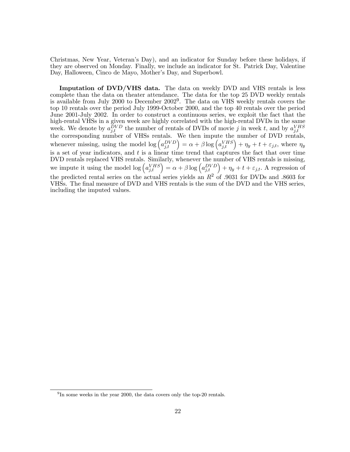Christmas, New Year, Veteran's Day), and an indicator for Sunday before these holidays, if they are observed on Monday. Finally, we include an indicator for St. Patrick Day, Valentine Day, Halloween, Cinco de Mayo, Mother's Day, and Superbowl.

Imputation of DVD/VHS data. The data on weekly DVD and VHS rentals is less complete than the data on theater attendance. The data for the top 25 DVD weekly rentals is available from July 2000 to December  $2002<sup>9</sup>$ . The data on VHS weekly rentals covers the top 10 rentals over the period July 1999-October 2000, and the top 40 rentals over the period June 2001-July 2002. In order to construct a continuous series, we exploit the fact that the high-rental VHSs in a given week are highly correlated with the high-rental DVDs in the same week. We denote by  $a_{j,t}^{DVD}$  the number of rentals of DVDs of movie j in week t, and by  $a_{j,t}^{VHS}$ <br>the corresponding number of VHSs rentals. We then impute the number of DVD rentals, whenever missing, using the model  $\log \left( a_{j,t}^{DVD} \right) = \alpha + \beta \log \left( a_{j,t}^{VHS} \right) + \eta_y + t + \varepsilon_{j,t}$ , where  $\eta_y$ is a set of year indicators, and  $t$  is a linear time trend that captures the fact that over time DVD rentals replaced VHS rentals. Similarly, whenever the number of VHS rentals is missing, we impute it using the model  $\log (a_{j,t}^{VHS}) = \alpha + \beta \log (a_{j,t}^{DVD}) + \eta_y + t + \varepsilon_{j,t}$ . A regression of the predicted rental series on the actual series yields an  $R^2$  of .9031 for DVDs and .8603 for VHSs. The final measure of DVD and VHS rentals is the sum of the DVD and the VHS series, including the imputed values.

 $^{9}$ In some weeks in the year 2000, the data covers only the top-20 rentals.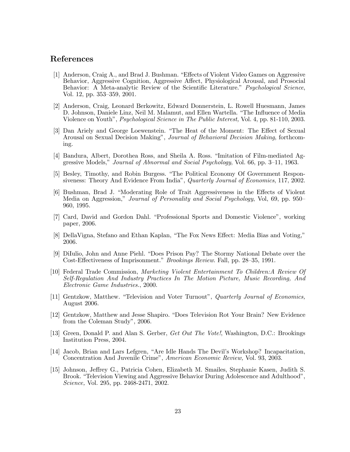### References

- [1] Anderson, Craig A., and Brad J. Bushman. "Effects of Violent Video Games on Aggressive Behavior, Aggressive Cognition, Aggressive Affect, Physiological Arousal, and Prosocial Behavior: A Meta-analytic Review of the Scientific Literature." *Psychological Science*, Vol. 12, pp. 353—359, 2001.
- [2] Anderson, Craig, Leonard Berkowitz, Edward Donnerstein, L. Rowell Huesmann, James D. Johnson, Daniele Linz, Neil M. Malamut, and Ellen Wartella. "The Influence of Media Violence on Youth", Psychological Science in The Public Interest, Vol. 4, pp. 81-110, 2003.
- [3] Dan Ariely and George Loewenstein. "The Heat of the Moment: The Effect of Sexual Arousal on Sexual Decision Making", Journal of Behavioral Decision Making, forthcoming.
- [4] Bandura, Albert, Dorothea Ross, and Sheila A. Ross. "Imitation of Film-mediated Aggressive Models," Journal of Abnormal and Social Psychology, Vol. 66, pp. 3—11, 1963.
- [5] Besley, Timothy, and Robin Burgess. "The Political Economy Of Government Responsiveness: Theory And Evidence From India", Quarterly Journal of Economics, 117, 2002.
- [6] Bushman, Brad J. "Moderating Role of Trait Aggressiveness in the Effects of Violent Media on Aggression," Journal of Personality and Social Psychology, Vol, 69, pp. 950— 960, 1995.
- [7] Card, David and Gordon Dahl. "Professional Sports and Domestic Violence", working paper, 2006.
- [8] DellaVigna, Stefano and Ethan Kaplan, "The Fox News Effect: Media Bias and Voting," 2006.
- [9] DiIulio, John and Anne Piehl. "Does Prison Pay? The Stormy National Debate over the Cost-Effectiveness of Imprisonment." Brookings Review. Fall, pp. 28—35, 1991.
- [10] Federal Trade Commission, Marketing Violent Entertainment To Children:A Review Of Self-Regulation And Industry Practices In The Motion Picture, Music Recording, And Electronic Game Industries., 2000.
- [11] Gentzkow, Matthew. "Television and Voter Turnout", Quarterly Journal of Economics, August 2006.
- [12] Gentzkow, Matthew and Jesse Shapiro. "Does Television Rot Your Brain? New Evidence from the Coleman Study", 2006.
- [13] Green, Donald P. and Alan S. Gerber, Get Out The Vote!, Washington, D.C.: Brookings Institution Press, 2004.
- [14] Jacob, Brian and Lars Lefgren, "Are Idle Hands The Devil's Workshop? Incapacitation, Concentration And Juvenile Crime", American Economic Review, Vol. 93, 2003.
- [15] Johnson, Jeffrey G., Patricia Cohen, Elizabeth M. Smailes, Stephanie Kasen, Judith S. Brook. "Television Viewing and Aggressive Behavior During Adolescence and Adulthood", Science, Vol. 295, pp. 2468-2471, 2002.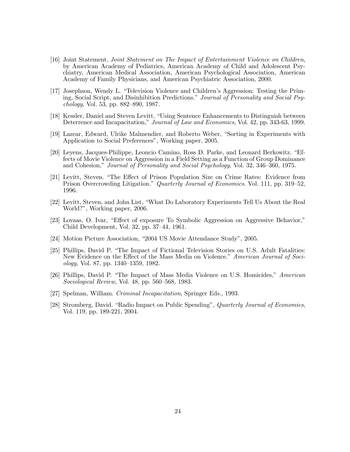- [16] Joint Statement, Joint Statement on The Impact of Entertainment Violence on Children, by American Academy of Pediatrics, American Academy of Child and Adolescent Psychiatry, American Medical Association, American Psychological Association, American Academy of Family Physicians, and American Psychiatric Association, 2000.
- [17] Josephson, Wendy L. "Television Violence and Children's Aggression: Testing the Priming, Social Script, and Disinhibition Predictions." Journal of Personality and Social Psychology, Vol. 53, pp. 882—890, 1987.
- [18] Kessler, Daniel and Steven Levitt. "Using Sentence Enhancements to Distinguish between Deterrence and Incapacitation," Journal of Law and Economics, Vol. 42, pp. 343-63, 1999.
- [19] Lazear, Edward, Ulrike Malmendier, and Roberto Weber, "Sorting in Experiments with Application to Social Preferences", Working paper, 2005.
- [20] Leyens, Jacques-Philippe, Leoncio Camino, Ross D. Parke, and Leonard Berkowitz. "Effects of Movie Violence on Aggression in a Field Setting as a Function of Group Dominance and Cohesion," Journal of Personality and Social Psychology, Vol. 32, 346—360, 1975.
- [21] Levitt, Steven. "The Effect of Prison Population Size on Crime Rates: Evidence from Prison Overcrowding Litigation." *Quarterly Journal of Economics*. Vol. 111, pp. 319–52, 1996.
- [22] Levitt, Steven, and John List, "What Do Laboratory Experiments Tell Us About the Real World?", Working paper, 2006.
- [23] Lovaas, O. Ivar, "Effect of exposure To Symbolic Aggression on Aggressive Behavior," Child Development, Vol. 32, pp. 37—44, 1961.
- [24] Motion Picture Association, "2004 US Movie Attendance Study", 2005.
- [25] Phillips, David P. "The Impact of Fictional Television Stories on U.S. Adult Fatalities: New Evidence on the Effect of the Mass Media on Violence." American Journal of Sociology, Vol. 87, pp. 1340—1359, 1982.
- [26] Phillips, David P. "The Impact of Mass Media Violence on U.S. Homicides," American Sociological Review, Vol. 48, pp. 560—568, 1983.
- [27] Spelman, William. Criminal Incapacitation, Springer Eds., 1993.
- [28] Stromberg, David. "Radio Impact on Public Spending", Quarterly Journal of Economics, Vol. 119, pp. 189-221, 2004.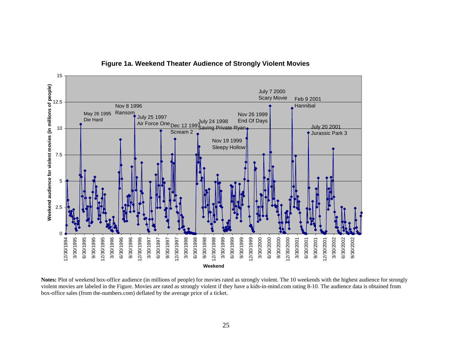

**Figure 1a. Weekend Theater Audience of Strongly Violent Movies**

**Notes:** Plot of weekend box-office audience (in millions of people) for movies rated as strongly violent. The 10 weekends with the highest audience for strongly violent movies are labeled in the Figure. Movies are rated as strongly violent if they have a kids-in-mind.com rating 8-10. The audience data is obtained from box-office sales (from the-numbers.com) deflated by the average price of a ticket.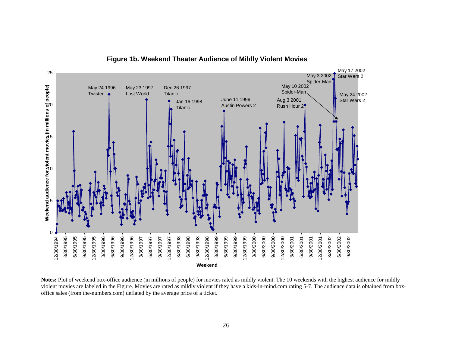

**Figure 1b. Weekend Theater Audience of Mildly Violent Movies**

Notes: Plot of weekend box-office audience (in millions of people) for movies rated as mildly violent. The 10 weekends with the highest audience for mildly violent movies are labeled in the Figure. Movies are rated as mildly violent if they have a kids-in-mind.com rating 5-7. The audience data is obtained from boxoffice sales (from the-numbers.com) deflated by the average price of a ticket.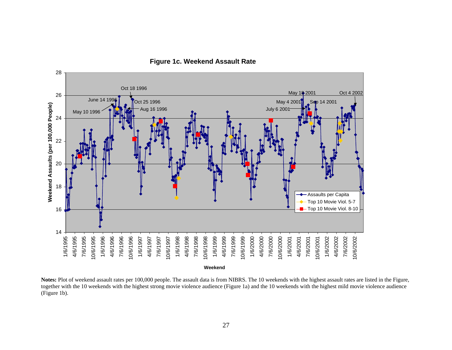

**Figure 1c. Weekend Assault Rate**

Notes: Plot of weekend assault rates per 100,000 people. The assault data is from NIBRS. The 10 weekends with the highest assault rates are listed in the Figure, together with the 10 weekends with the highest strong movie violence audience (Figure 1a) and the 10 weekends with the highest mild movie violence audience (Figure 1b).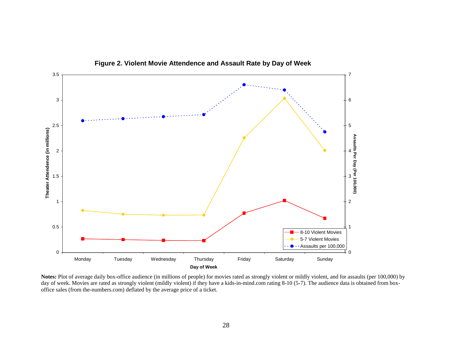

**Figure 2. Violent Movie Attendence and Assault Rate by Day of Week**

Notes: Plot of average daily box-office audience (in millions of people) for movies rated as strongly violent or mildly violent, and for assaults (per 100,000) by day of week. Movies are rated as strongly violent (mildly violent) if they have a kids-in-mind.com rating 8-10 (5-7). The audience data is obtained from boxoffice sales (from the-numbers.com) deflated by the average price of a ticket.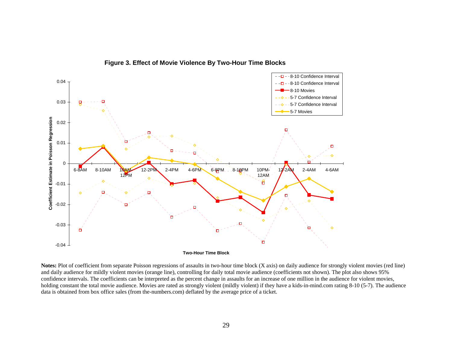

**Figure 3. Effect of Movie Violence By Two-Hour Time Blocks**

Notes: Plot of coefficient from separate Poisson regressions of assaults in two-hour time block (X axis) on daily audience for strongly violent movies (red line) and daily audience for mildly violent movies (orange line), controlling for daily total movie audience (coefficients not shown). The plot also shows 95% confidence intervals. The coefficients can be interpreted as the percent change in assaults for an increase of one million in the audience for violent movies, holding constant the total movie audience. Movies are rated as strongly violent (mildly violent) if they have a kids-in-mind.com rating 8-10 (5-7). The audience data is obtained from box office sales (from the-numbers.com) deflated by the average price of a ticket.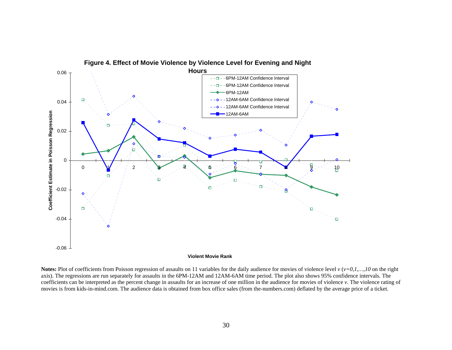

**Notes:** Plot of coefficients from Poisson regression of assaults on 11 variables for the daily audience for movies of violence level *v* (*v*=0,1,...,10 on the right axis). The regressions are run separately for assaults in the 6PM-12AM and 12AM-6AM time period. The plot also shows 95% confidence intervals. The coefficients can be interpreted as the percent change in assaults for an increase of one million in the audience for movies of violence *v*. The violence rating of movies is from kids-in-mind.com. The audience data is obtained from box office sales (from the-numbers.com) deflated by the average price of a ticket.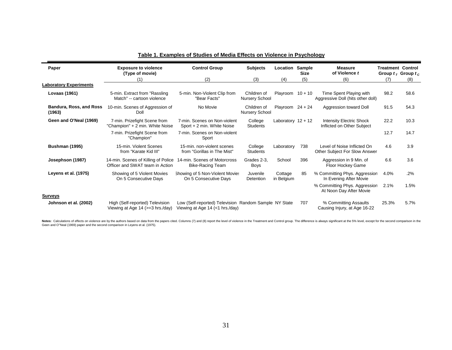| Paper                             | <b>Exposure to violence</b><br>(Type of movie)                         | <b>Control Group</b>                                                                     | <b>Subjects</b>                      | Location              | Sample<br><b>Size</b> | <b>Measure</b><br>of Violence t                               | <b>Treatment Control</b> | Group $t_T$ Group $t_C$ |
|-----------------------------------|------------------------------------------------------------------------|------------------------------------------------------------------------------------------|--------------------------------------|-----------------------|-----------------------|---------------------------------------------------------------|--------------------------|-------------------------|
|                                   | (1)                                                                    | (2)                                                                                      | (3)                                  | (4)                   | (5)                   | (6)                                                           | (7)                      | (8)                     |
| <b>Laboratory Experiments</b>     |                                                                        |                                                                                          |                                      |                       |                       |                                                               |                          |                         |
| <b>Lovaas (1961)</b>              | 5-min. Extract from "Rassling<br>Match" -- cartoon violence            | 5-min. Non-Violent Clip from<br>"Bear Facts"                                             | Children of<br><b>Nursery School</b> | Playroom $10 + 10$    |                       | Time Spent Playing with<br>Aggressive Doll (hits other doll)  | 98.2                     | 58.6                    |
| Bandura, Ross, and Ross<br>(1963) | 10-min. Scenes of Aggression of<br>Doll                                | No Movie                                                                                 | Children of<br><b>Nursery School</b> | Playroom $24 + 24$    |                       | Aggression toward Doll                                        | 91.5                     | 54.3                    |
| Geen and O'Neal (1969)            | 7-min. Prizefight Scene from<br>"Champion" + 2 min. White Noise        | 7-min. Scenes on Non-violent<br>Sport + 2 min. White Noise                               | College<br><b>Students</b>           | Laboratory $12 + 12$  |                       | <b>Intensity Electric Shock</b><br>Inflicted on Other Subject | 22.2                     | 10.3                    |
|                                   | 7-min. Prizefight Scene from<br>"Champion"                             | 7-min. Scenes on Non-violent<br>Sport                                                    |                                      |                       |                       |                                                               | 12.7                     | 14.7                    |
| <b>Bushman (1995)</b>             | 15-min. Violent Scenes<br>from "Karate Kid III"                        | 15-min. non-violent scenes<br>from "Gorillas in The Mist"                                | College<br><b>Students</b>           | Laboratory            | 738                   | Level of Noise Inflicted On<br>Other Subject For Slow Answer  | 4.6                      | 3.9                     |
| Josephson (1987)                  | 14-min. Scenes of Killing of Police<br>Officer and SWAT team in Action | 14-min. Scenes of Motorcross<br><b>Bike-Racing Team</b>                                  | Grades 2-3.<br>Boys                  | School                | 396                   | Aggression in 9 Min. of<br>Floor Hockey Game                  | 6.6                      | 3.6                     |
| Leyens et al. (1975)              | Showing of 5 Violent Movies<br>On 5 Consecutive Days                   | Showing of 5 Non-Violent Movies<br>On 5 Consecutive Days                                 | Juvenile<br>Detention                | Cottage<br>in Belgium | 85                    | % Committing Phys. Aggression<br>In Evening After Movie       | 4.0%                     | .2%                     |
|                                   |                                                                        |                                                                                          |                                      |                       |                       | % Committing Phys. Aggression<br>At Noon Day After Movie      | 2.1%                     | 1.5%                    |
| <b>Surveys</b>                    |                                                                        |                                                                                          |                                      |                       |                       |                                                               |                          |                         |
| Johnson et al. (2002)             | High (Self-reported) Television<br>Viewing at Age 14 (>=3 hrs./day)    | Low (Self-reported) Television Random Sample NY State<br>Viewing at Age 14 (<1 hrs./day) |                                      |                       | 707                   | % Committing Assaults<br>Causing Injury, at Age 16-22         | 25.3%                    | 5.7%                    |

#### **Table 1. Examples of Studies of Media Effects on Violence in Psychology**

Notes: Calculations of effects on violence are by the authors based on data from the papers cited. Columns (7) and (8) report the level of violence in the Treatment and Control group. The difference is always significant a Geen and O"Neal (1969) paper and the second comparison in Leyens et al. (1975).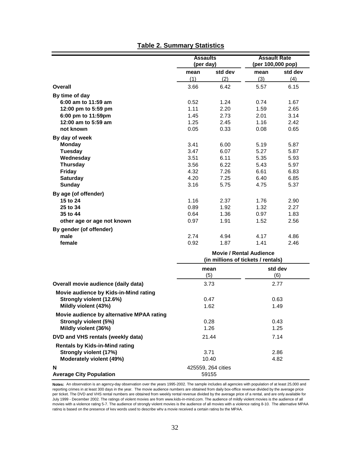|                                           | <b>Assaults</b><br>(per day) |                                    | <b>Assault Rate</b><br>(per 100,000 pop) |         |
|-------------------------------------------|------------------------------|------------------------------------|------------------------------------------|---------|
|                                           | mean                         | std dev                            | mean                                     | std dev |
|                                           | (1)                          | (2)                                | (3)                                      | (4)     |
| Overall                                   | 3.66                         | 6.42                               | 5.57                                     | 6.15    |
| By time of day                            |                              |                                    |                                          |         |
| 6:00 am to 11:59 am                       | 0.52                         | 1.24                               | 0.74                                     | 1.67    |
| 12:00 pm to 5:59 pm                       | 1.11                         | 2.20                               | 1.59                                     | 2.65    |
| 6:00 pm to 11:59pm                        | 1.45                         | 2.73                               | 2.01                                     | 3.14    |
| 12:00 am to 5:59 am                       | 1.25                         | 2.45                               | 1.16                                     | 2.42    |
| not known                                 | 0.05                         | 0.33                               | 0.08                                     | 0.65    |
| By day of week                            |                              |                                    |                                          |         |
| <b>Monday</b>                             | 3.41                         | 6.00                               | 5.19                                     | 5.87    |
| <b>Tuesday</b>                            | 3.47                         | 6.07                               | 5.27                                     | 5.87    |
| Wednesday                                 | 3.51                         | 6.11                               | 5.35                                     | 5.93    |
| <b>Thursday</b>                           | 3.56                         | 6.22                               | 5.43                                     | 5.97    |
| Friday                                    | 4.32                         | 7.26                               | 6.61                                     | 6.83    |
| <b>Saturday</b>                           | 4.20                         | 7.25                               | 6.40                                     | 6.85    |
| <b>Sunday</b>                             | 3.16                         | 5.75                               | 4.75                                     | 5.37    |
| By age (of offender)                      |                              |                                    |                                          |         |
| 15 to 24                                  | 1.16                         | 2.37                               | 1.76                                     | 2.90    |
| 25 to 34                                  | 0.89                         | 1.92                               | 1.32                                     | 2.27    |
| 35 to 44                                  | 0.64                         | 1.36                               | 0.97                                     | 1.83    |
| other age or age not known                | 0.97                         | 1.91                               | 1.52                                     | 2.56    |
| By gender (of offender)                   |                              |                                    |                                          |         |
| male                                      | 2.74                         | 4.94                               | 4.17                                     | 4.86    |
| female                                    | 0.92                         | 1.87                               | 1.41                                     | 2.46    |
|                                           |                              | <b>Movie / Rental Audience</b>     |                                          |         |
|                                           |                              | (in millions of tickets / rentals) |                                          |         |
|                                           |                              | mean                               |                                          | std dev |
|                                           |                              | (5)                                |                                          | (6)     |
| Overall movie audience (daily data)       |                              | 3.73                               |                                          | 2.77    |
| Movie audience by Kids-in-Mind rating     |                              |                                    |                                          |         |
| Strongly violent (12.6%)                  |                              | 0.47                               |                                          | 0.63    |
| Mildly violent (43%)                      |                              | 1.62                               |                                          | 1.49    |
| Movie audience by alternative MPAA rating |                              |                                    |                                          |         |
| Strongly violent (5%)                     |                              | 0.28                               |                                          | 0.43    |
| Mildly violent (36%)                      |                              | 1.26                               |                                          | 1.25    |
| DVD and VHS rentals (weekly data)         |                              | 21.44                              |                                          | 7.14    |
| <b>Rentals by Kids-in-Mind rating</b>     |                              |                                    |                                          |         |
| Strongly violent (17%)                    |                              | 3.71                               |                                          | 2.86    |
| Moderately violent (49%)                  |                              | 10.40                              |                                          | 4.82    |

### **Table 2. Summary Statistics**

**Notes:** An observation is an agency-day observation over the years 1995-2002. The sample includes all agencies with population of at least 25,000 and reporting crimes in at least 300 days in the year. The movie audience numbers are obtained from daily box-office revenue divided by the average price per ticket. The DVD and VHS rental numbers are obtained from weekly rental revenue divided by the average price of a rental, and are only available for July 1999 - December 2002. The ratings of violent movies are from www.kids-in-mind.com. The audience of mildly violent movies is the audience of all movies with a violence rating 5-7. The audience of strongly violent movies is the audience of all movies with a violence rating 8-10. The alternative MPAA rating is based on the presence of key words used to describe why a movie received a certain rating by the MPAA.

425559, 264 cities 59155

**N**

**Average City Population**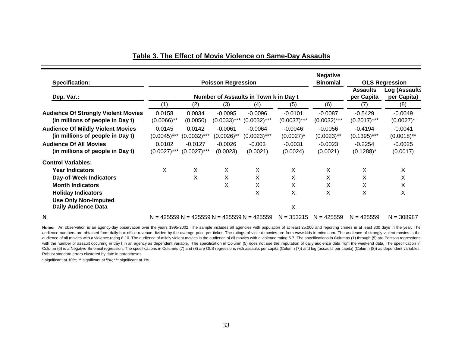| <b>Specification:</b>                                                        |                          |                             | <b>Poisson Regression</b>             | <b>Negative</b><br><b>Binomial</b>            | <b>OLS Regression</b>         |                              |                             |                            |
|------------------------------------------------------------------------------|--------------------------|-----------------------------|---------------------------------------|-----------------------------------------------|-------------------------------|------------------------------|-----------------------------|----------------------------|
| Dep. Var.:                                                                   |                          |                             | Number of Assaults in Town k in Day t |                                               | <b>Assaults</b><br>per Capita | Log (Assaults<br>per Capita) |                             |                            |
|                                                                              | (1)                      | (2)                         | (3)                                   | (4)                                           | (5)                           | (6)                          | (7)                         | (8)                        |
| <b>Audience Of Strongly Violent Movies</b>                                   | 0.0158                   | 0.0034                      | $-0.0095$                             | $-0.0096$                                     | $-0.0101$                     | $-0.0087$                    | $-0.5429$                   | $-0.0049$                  |
| (in millions of people in Day t)                                             | $(0.0066)$ **            | (0.0050)                    | $(0.0033)$ ***                        | $(0.0032)$ ***                                | $(0.0037)$ ***                | $(0.0032)$ ***               | $(0.2017)$ ***              | $(0.0027)^*$               |
| <b>Audience Of Mildly Violent Movies</b><br>(in millions of people in Day t) | 0.0145<br>$(0.0045)$ *** | 0.0142<br>$(0.0032)$ ***    | $-0.0061$<br>$(0.0026)$ **            | $-0.0064$<br>$(0.0023)$ ***                   | $-0.0046$<br>$(0.0027)^*$     | $-0.0056$<br>$(0.0023)$ **   | $-0.4194$<br>$(0.1395)$ *** | $-0.0041$<br>$(0.0018)$ ** |
| <b>Audience Of All Movies</b><br>(in millions of people in Day t)            | 0.0102<br>$(0.0027)$ *** | $-0.0127$<br>$(0.0027)$ *** | $-0.0026$<br>(0.0023)                 | $-0.003$<br>(0.0021)                          | $-0.0031$<br>(0.0024)         | $-0.0023$<br>(0.0021)        | $-0.2254$<br>$(0.1288)^*$   | $-0.0025$<br>(0.0017)      |
| <b>Control Variables:</b>                                                    |                          |                             |                                       |                                               |                               |                              |                             |                            |
| <b>Year Indicators</b>                                                       | Χ                        | X                           | X                                     | Χ                                             | Χ                             | X                            | X                           | X                          |
| Day-of-Week Indicators                                                       |                          | X                           | X                                     | X                                             | X                             | X                            | X                           | X                          |
| <b>Month Indicators</b>                                                      |                          |                             | X                                     | Х                                             | X                             | X                            | X                           | X                          |
| <b>Holiday Indicators</b>                                                    |                          |                             |                                       | X                                             | X                             | X                            | X                           | X                          |
| <b>Use Only Non-Imputed</b><br><b>Daily Audience Data</b>                    |                          |                             |                                       |                                               | X                             |                              |                             |                            |
| N                                                                            |                          |                             |                                       | $N = 425559 N = 425559 N = 425559 N = 425559$ | $N = 353215$                  | $N = 425559$                 | $N = 425559$                | $N = 308987$               |

#### **Table 3. The Effect of Movie Violence on Same-Day Assaults**

**Notes:** An observation is an agency-day observation over the years 1995-2002. The sample includes all agencies with population of at least 25,000 and reporting crimes in at least 300 days in the year. The audience numbers are obtained from daily box-office revenue divided by the average price per ticket. The ratings of violent movies are from www.kids-in-mind.com. The audience of strongly violent movies is the audience of all movies with a violence rating 8-10. The audience of mildly violent movies is the audience of all movies with a violence rating 5-7. The specifications in Columns (1) through (5) are Poisson regressions with the number of assault occurring in day t in an agency as dependent variable. The specification in Column (5) does not use the imputation of daily audience data from the weekend data. The specification in Column (6) is a Negative Binomial regression. The specifications in Columns (7) and (8) are OLS regressions with assaults per capita (Column (7)) and log (assaults per capita) (Column (8)) as dependent variables. Robust standard errors clustered by date in parentheses.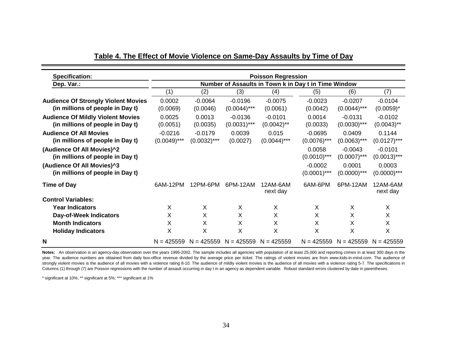| <b>Specification:</b>                                             | <b>Poisson Regression</b>                            |                             |                    |                         |                             |                             |                            |  |  |  |
|-------------------------------------------------------------------|------------------------------------------------------|-----------------------------|--------------------|-------------------------|-----------------------------|-----------------------------|----------------------------|--|--|--|
| Dep. Var.:                                                        | Number of Assaults in Town k in Day t in Time Window |                             |                    |                         |                             |                             |                            |  |  |  |
|                                                                   | (1)                                                  | (2)                         | (3)                | (4)                     | (5)                         | (6)                         | (7)                        |  |  |  |
| <b>Audience Of Strongly Violent Movies</b>                        | 0.0002                                               | $-0.0064$                   | $-0.0196$          | $-0.0075$               | $-0.0023$                   | $-0.0207$                   | $-0.0104$                  |  |  |  |
| (in millions of people in Day t)                                  | (0.0069)                                             | (0.0046)                    | $(0.0044)$ ***     | (0.0061)                | (0.0042)                    | $(0.0044)$ ***              | $(0.0059)^*$               |  |  |  |
| <b>Audience Of Mildly Violent Movies</b>                          | 0.0025                                               | 0.0013                      | $-0.0136$          | $-0.0101$               | 0.0014                      | $-0.0131$                   | $-0.0102$                  |  |  |  |
| (in millions of people in Day t)                                  | (0.0051)                                             | (0.0035)                    | $(0.0031)$ ***     | $(0.0042)$ **           | (0.0033)                    | $(0.0030)$ ***              | $(0.0043)$ **              |  |  |  |
| <b>Audience Of All Movies</b><br>(in millions of people in Day t) | $-0.0216$<br>$(0.0049)$ ***                          | $-0.0179$<br>$(0.0032)$ *** | 0.0039<br>(0.0027) | 0.015<br>$(0.0044)$ *** | $-0.0695$<br>$(0.0076)$ *** | 0.0409<br>$(0.0063)$ ***    | 0.1144<br>$(0.0127)$ ***   |  |  |  |
| (Audience Of All Movies)^2<br>(in millions of people in Day t)    |                                                      |                             |                    |                         | 0.0058<br>$(0.0010)$ ***    | $-0.0043$<br>$(0.0007)$ *** | $-0.0101$<br>$(0.0013)***$ |  |  |  |
| (Audience Of All Movies)^3<br>(in millions of people in Day t)    |                                                      |                             |                    |                         | $-0.0002$<br>$(0.0001)$ *** | 0.0001<br>$(0.0000)$ ***    | 0.0003<br>$(0.0000)$ ***   |  |  |  |
| <b>Time of Day</b>                                                | 6AM-12PM                                             | 12PM-6PM                    | 6PM-12AM           | 12AM-6AM<br>next day    | 6AM-6PM                     | 6PM-12AM                    | 12AM-6AM<br>next day       |  |  |  |
| <b>Control Variables:</b>                                         |                                                      |                             |                    |                         |                             |                             |                            |  |  |  |
| <b>Year Indicators</b>                                            | X                                                    | X                           | X                  | X                       | X                           | X                           | X                          |  |  |  |
| Day-of-Week Indicators                                            | Χ                                                    | X                           | X                  | Χ                       | X                           | X                           | X                          |  |  |  |
| <b>Month Indicators</b>                                           | X                                                    | X                           | X                  | Χ                       | X                           | X                           | X                          |  |  |  |
| <b>Holiday Indicators</b>                                         | Χ                                                    | X                           | X                  | Χ                       | X                           | X                           | X                          |  |  |  |
| N                                                                 | $N = 425559$                                         | $N = 425559$                | $N = 425559$       | $N = 425559$            | $N = 425559$                | $N = 425559$                | $N = 425559$               |  |  |  |

**Table 4. The Effect of Movie Violence on Same-Day Assaults by Time of Day**

**Notes:** An observation is an agency-day observation over the years 1995-2002. The sample includes all agencies with population of at least 25,000 and reporting crimes in at least 300 days in the year. The audience numbers are obtained from daily box-office revenue divided by the average price per ticket. The ratings of violent movies are from www.kids-in-mind.com. The audience of strongly violent movies is the audience of all movies with a violence rating 8-10. The audience of mildly violent movies is the audience of all movies with a violence rating 5-7. The specifications in Columns (1) through (7) are Poisson regressions with the number of assault occurring in day t in an agency as dependent variable. Robust standard errors clustered by date in parentheses.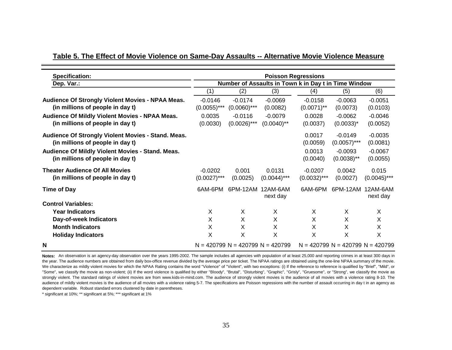| <b>Specification:</b>                                                                  | <b>Poisson Regressions</b>                           |                                    |                            |                             |                                        |                         |  |  |  |
|----------------------------------------------------------------------------------------|------------------------------------------------------|------------------------------------|----------------------------|-----------------------------|----------------------------------------|-------------------------|--|--|--|
| Dep. Var.:                                                                             | Number of Assaults in Town k in Day t in Time Window |                                    |                            |                             |                                        |                         |  |  |  |
|                                                                                        | (1)                                                  | (2)                                | (3)                        | (4)                         | (5)                                    | (6)                     |  |  |  |
| Audience Of Strongly Violent Movies - NPAA Meas.<br>(in millions of people in day t)   | $-0.0146$<br>$(0.0055)$ ***                          | $-0.0174$<br>$(0.0060)$ ***        | $-0.0069$<br>(0.0082)      | $-0.0158$<br>$(0.0071)$ **  | $-0.0063$<br>(0.0073)                  | $-0.0051$<br>(0.0103)   |  |  |  |
| Audience Of Mildly Violent Movies - NPAA Meas.<br>(in millions of people in day t)     | 0.0035<br>(0.0030)                                   | $-0.0116$<br>$(0.0026)$ ***        | $-0.0079$<br>$(0.0040)$ ** | 0.0028<br>(0.0037)          | $-0.0062$<br>$(0.0033)^*$              | $-0.0046$<br>(0.0052)   |  |  |  |
| Audience Of Strongly Violent Movies - Stand. Meas.<br>(in millions of people in day t) |                                                      |                                    |                            | 0.0017<br>(0.0059)          | $-0.0149$<br>$(0.0057)$ ***            | $-0.0035$<br>(0.0081)   |  |  |  |
| Audience Of Mildly Violent Movies - Stand. Meas.<br>(in millions of people in day t)   |                                                      |                                    |                            | 0.0013<br>(0.0040)          | $-0.0093$<br>$(0.0038)$ **             | $-0.0067$<br>(0.0055)   |  |  |  |
| <b>Theater Audience Of All Movies</b><br>(in millions of people in day t)              | $-0.0202$<br>$(0.0027)$ ***                          | 0.001<br>(0.0025)                  | 0.0131<br>$(0.0044)$ ***   | $-0.0207$<br>$(0.0032)$ *** | 0.0042<br>(0.0027)                     | 0.015<br>$(0.0045)$ *** |  |  |  |
| <b>Time of Day</b>                                                                     | 6AM-6PM                                              | 6PM-12AM                           | 12AM-6AM<br>next day       | 6AM-6PM                     | 6PM-12AM                               | 12AM-6AM<br>next day    |  |  |  |
| <b>Control Variables:</b>                                                              |                                                      |                                    |                            |                             |                                        |                         |  |  |  |
| <b>Year Indicators</b>                                                                 | X                                                    | X                                  | X                          | X                           | X                                      | X                       |  |  |  |
| Day-of-week Indicators                                                                 | X                                                    | X                                  | X                          | X                           | X                                      | X                       |  |  |  |
| <b>Month Indicators</b>                                                                | X                                                    | X                                  | X                          | X                           | X                                      | X                       |  |  |  |
| <b>Holiday Indicators</b>                                                              | X                                                    | X                                  | X                          | X                           | Χ                                      | X                       |  |  |  |
| N                                                                                      |                                                      | $N = 420799$ N = 420799 N = 420799 |                            |                             | $N = 420799$ $N = 420799$ $N = 420799$ |                         |  |  |  |

# **Table 5. The Effect of Movie Violence on Same-Day Assaults -- Alternative Movie Violence Measure**

**Notes:** An observation is an agency-day observation over the years 1995-2002. The sample includes all agencies with population of at least 25,000 and reporting crimes in at least 300 days in the year. The audience numbers are obtained from daily box-office revenue divided by the average price per ticket. The NPAA ratings are obtained using the one-line NPAA summary of the movie. We characterize as mildly violent movies for which the NPAA Rating contains the word "Violence" of "Violent", with two exceptions: (i) If the reference to reference is qualified by "Brief", "Mild", or "Some", we classify the movie as non-violent; (ii) If the word violence is qualified by either "Bloody", "Brutal", "Disturbing", "Graphic", "Grisly", "Gruesome", or "Strong", we classify the movie as strongly violent. The standard ratings of violent movies are from www.kids-in-mind.com. The audience of strongly violent movies is the audience of all movies with <sup>a</sup> violence rating 8-10. The audience of mildly violent movies is the audience of all movies with a violence rating 5-7. The specifications are Poisson regressions with the number of assault occurring in day t in an agency as dependent variable. Robust standard errors clustered by date in parentheses.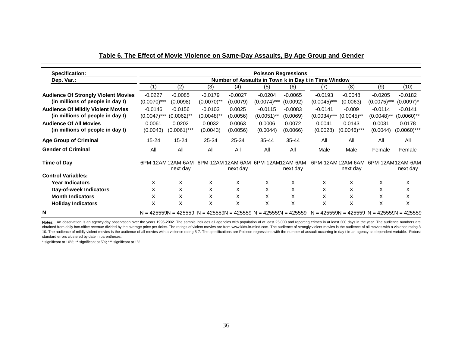| <b>Specification:</b>                                                        | <b>Poisson Regressions</b>                           |                               |                                                                       |                    |                                    |                       |                                               |                                      |                            |                            |
|------------------------------------------------------------------------------|------------------------------------------------------|-------------------------------|-----------------------------------------------------------------------|--------------------|------------------------------------|-----------------------|-----------------------------------------------|--------------------------------------|----------------------------|----------------------------|
| Dep. Var.:                                                                   | Number of Assaults in Town k in Day t in Time Window |                               |                                                                       |                    |                                    |                       |                                               |                                      |                            |                            |
|                                                                              | (1)                                                  | (2)                           | (3)                                                                   | (4)                | (5)                                | (6)                   | (7)                                           | (8)                                  | (9)                        | (10)                       |
| <b>Audience Of Strongly Violent Movies</b>                                   | $-0.0227$                                            | $-0.0085$                     | $-0.0179$                                                             | $-0.0027$          | $-0.0204$                          | $-0.0065$             | $-0.0193$                                     | $-0.0048$                            | $-0.0205$                  | $-0.0182$                  |
| (in millions of people in day t)                                             | $(0.0070)$ ***                                       | (0.0098)                      | $(0.0070)$ **                                                         | (0.0079)           | $(0.0074)$ ***                     | (0.0092)              | $(0.0045)$ ***                                | (0.0063)                             | $(0.0075)$ ***             | $(0.0097)^*$               |
| <b>Audience Of Mildly Violent Movies</b><br>(in millions of people in day t) | $-0.0146$<br>$(0.0047)$ ***                          | $-0.0156$<br>(0.0062)**       | $-0.0103$<br>$(0.0048)$ <sup>**</sup>                                 | 0.0025<br>(0.0056) | $-0.0115$<br>$(0.0051)$ **         | $-0.0083$<br>(0.0069) | $-0.0141$<br>$(0.0034)$ ***                   | $-0.009$<br>$(0.0045)$ <sup>**</sup> | $-0.0114$<br>$(0.0048)$ ** | $-0.0141$<br>$(0.0060)$ ** |
| <b>Audience Of All Movies</b><br>(in millions of people in day t)            | 0.0061<br>(0.0043)                                   | 0.0202<br>$(0.0061)$ ***      | 0.0032<br>(0.0043)                                                    | 0.0063<br>(0.0056) | 0.0006<br>(0.0044)                 | 0.0072<br>(0.0066)    | 0.0041<br>(0.0028)                            | 0.0143<br>$(0.0046)$ ***             | 0.0031<br>(0.0044)         | 0.0178<br>$(0.0060)$ ***   |
| <b>Age Group of Criminal</b>                                                 | 15-24                                                | $15 - 24$                     | 25-34                                                                 | 25-34              | $35 - 44$                          | $35 - 44$             | All                                           | All                                  | All                        | All                        |
| <b>Gender of Criminal</b>                                                    | All                                                  | All                           | All                                                                   | All                | All                                | All                   | Male                                          | Male                                 | Female                     | Female                     |
| <b>Time of Day</b>                                                           |                                                      | 6PM-12AM 12AM-6AM<br>next day |                                                                       | next day           | 6PM-12AM 12AM-6AM 6PM-12AM12AM-6AM | next day              |                                               | 6PM-12AM 12AM-6AM<br>next day        | 6PM-12AM 12AM-6AM          | next day                   |
| <b>Control Variables:</b>                                                    |                                                      |                               |                                                                       |                    |                                    |                       |                                               |                                      |                            |                            |
| <b>Year Indicators</b>                                                       | X                                                    | X                             | X                                                                     | X                  | X                                  | X                     | X                                             | X                                    | X                          | X                          |
| Day-of-week Indicators                                                       | X                                                    | X                             | X                                                                     | X                  | X                                  | X                     | X                                             | X                                    | X                          | X                          |
| <b>Month Indicators</b>                                                      | X                                                    | X                             | X                                                                     | X                  | X                                  | X                     | X                                             | X                                    | X                          | Χ                          |
| <b>Holiday Indicators</b>                                                    | X                                                    | X                             | X                                                                     | X                  | X                                  | Χ                     | X                                             | X                                    | X                          | X                          |
| N                                                                            |                                                      |                               | $N = 425559N = 425559$ $N = 425559N = 425559$ $N = 425559$ $= 425559$ |                    |                                    |                       | $N = 425559N = 425559$ $N = 425559N = 425559$ |                                      |                            |                            |

Notes: An observation is an agency-day observation over the years 1995-2002. The sample includes all agencies with population of at least 25,000 and reporting crimes in at least 300 days in the year. The audience numbers a obtained from daily box-office revenue divided by the average price per ticket. The ratings of violent movies are from www.kids-in-mind.com. The audience of strongly violent movies is the audience of all movies with a viol 10. The audience of mildly violent movies is the audience of all movies with a violence rating 5-7. The specifications are Poisson regressions with the number of assault occurring in day t in an agency as dependent variabl standard errors clustered by date in parentheses.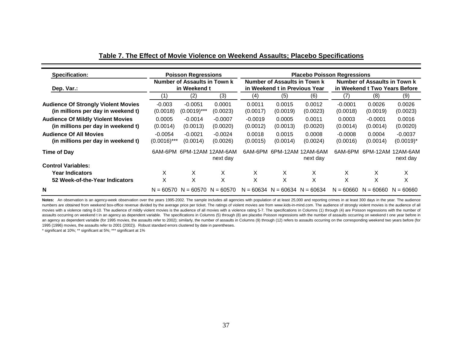| <b>Specification:</b>                                                            |                                                                                                               | <b>Poisson Regressions</b>  |                       | <b>Placebo Poisson Regressions</b> |                                     |                      |                                                               |                       |                           |  |
|----------------------------------------------------------------------------------|---------------------------------------------------------------------------------------------------------------|-----------------------------|-----------------------|------------------------------------|-------------------------------------|----------------------|---------------------------------------------------------------|-----------------------|---------------------------|--|
| Dep. Var.:                                                                       | Number of Assaults in Town k<br>Number of Assaults in Town k<br>in Weekend t<br>in Weekend t in Previous Year |                             |                       |                                    |                                     |                      | Number of Assaults in Town k<br>in Weekend t Two Years Before |                       |                           |  |
|                                                                                  | (1)                                                                                                           | (2)                         | (3)                   | (4)                                | (5)                                 | (6)                  | (7)                                                           | (8)                   | (9)                       |  |
| <b>Audience Of Strongly Violent Movies</b><br>(in millions per day in weekend t) | $-0.003$<br>(0.0018)                                                                                          | $-0.0051$<br>$(0.0019)$ *** | 0.0001<br>(0.0023)    | 0.0011<br>(0.0017)                 | 0.0015<br>(0.0019)                  | 0.0012<br>(0.0023)   | $-0.0001$<br>(0.0018)                                         | 0.0026<br>(0.0019)    | 0.0026<br>(0.0023)        |  |
| <b>Audience Of Mildly Violent Movies</b><br>(in millions per day in weekend t)   | 0.0005<br>(0.0014)                                                                                            | $-0.0014$<br>(0.0013)       | $-0.0007$<br>(0.0020) | $-0.0019$<br>(0.0012)              | 0.0005<br>(0.0013)                  | 0.0011<br>(0.0020)   | 0.0003<br>(0.0014)                                            | $-0.0001$<br>(0.0014) | 0.0016<br>(0.0020)        |  |
| <b>Audience Of All Movies</b><br>(in millions per day in weekend t)              | $-0.0054$<br>$(0.0016)$ ***                                                                                   | $-0.0021$<br>(0.0014)       | $-0.0024$<br>(0.0026) | 0.0018<br>(0.0015)                 | 0.0015<br>(0.0014)                  | 0.0008<br>(0.0024)   | $-0.0008$<br>(0.0016)                                         | 0.0004<br>(0.0014)    | $-0.0037$<br>$(0.0019)^*$ |  |
| Time of Day                                                                      | 6AM-6PM                                                                                                       | 6PM-12AM                    | 12AM-6AM<br>next day  | 6AM-6PM                            | 6PM-12AM                            | 12AM-6AM<br>next day | 6AM-6PM                                                       | 6PM-12AM              | 12AM-6AM<br>next day      |  |
| <b>Control Variables:</b>                                                        |                                                                                                               |                             |                       |                                    |                                     |                      |                                                               |                       |                           |  |
| <b>Year Indicators</b>                                                           | X                                                                                                             | X.                          | X                     | X                                  | X                                   | X                    | X                                                             | X                     | X                         |  |
| 52 Week-of-the-Year Indicators                                                   | X                                                                                                             | X                           | X                     | X                                  | X                                   | X                    | X                                                             | $\checkmark$<br>⋏     | X                         |  |
| N                                                                                |                                                                                                               | $N = 60570$ $N = 60570$     | $N = 60570$           |                                    | $N = 60634$ $N = 60634$ $N = 60634$ |                      | $N = 60660$                                                   | $N = 60660$           | $N = 60660$               |  |

#### **Table 7. The Effect of Movie Violence on Weekend Assaults; Placebo Specifications**

**Notes:** An observation is an agency-week observation over the years 1995-2002. The sample includes all agencies with population of at least 25,000 and reporting crimes in at least 300 days in the year. The audience numbers are obtained from weekend box-office revenue divided by the average price per ticket. The ratings of violent movies are from www.kids-in-mind.com. The audience of strongly violent movies is the audience of all movies with a violence rating 8-10. The audience of mildly violent movies is the audience of all movies with a violence rating 5-7. The specifications in Columns (1) through (4) are Poisson regressions with the number of assaults occurring on weekend t in an agency as dependent variable. The specifications in Columns (5) through (8) are placebo Poisson regressions with the number of assaults occurring on weekend t one year before in an agency as dependent variable (for 1995 movies, the assaults refer to 2002); similarly, the number of assaults in Columns (9) through (12) refers to assaults occurring on the corresponding weekend two years before (for 1995 (1996) movies, the assaults refer to 2001 (2002)). Robust standard errors clustered by date in parentheses.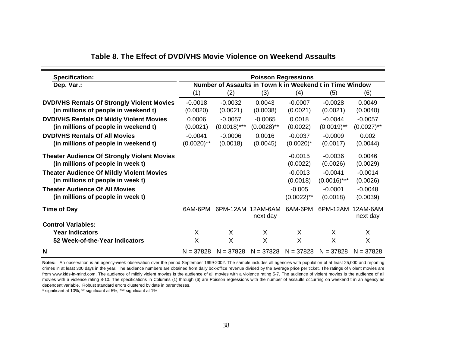| <b>Specification:</b>                                                                   |                                                          |                | <b>Poisson Regressions</b> |                           |                             |                       |  |  |  |
|-----------------------------------------------------------------------------------------|----------------------------------------------------------|----------------|----------------------------|---------------------------|-----------------------------|-----------------------|--|--|--|
| Dep. Var.:                                                                              | Number of Assaults in Town k in Weekend t in Time Window |                |                            |                           |                             |                       |  |  |  |
|                                                                                         | (1)                                                      | (2)            | (3)                        | (4)                       | (5)                         | (6)                   |  |  |  |
| <b>DVD/VHS Rentals Of Strongly Violent Movies</b>                                       | $-0.0018$                                                | $-0.0032$      | 0.0043                     | $-0.0007$                 | $-0.0028$                   | 0.0049                |  |  |  |
| (in millions of people in weekend t)                                                    | (0.0020)                                                 | (0.0021)       | (0.0038)                   | (0.0021)                  | (0.0021)                    | (0.0040)              |  |  |  |
| <b>DVD/VHS Rentals Of Mildly Violent Movies</b>                                         | 0.0006                                                   | $-0.0057$      | $-0.0065$                  | 0.0018                    | $-0.0044$                   | $-0.0057$             |  |  |  |
| (in millions of people in weekend t)                                                    | (0.0021)                                                 | $(0.0018)$ *** | $(0.0028)$ **              | (0.0022)                  | $(0.0019)$ **               | $(0.0027)$ **         |  |  |  |
| <b>DVD/VHS Rentals Of All Movies</b>                                                    | $-0.0041$                                                | $-0.0006$      | 0.0016                     | $-0.0037$                 | $-0.0009$                   | 0.002                 |  |  |  |
| (in millions of people in weekend t)                                                    | $(0.0020)$ **                                            | (0.0018)       | (0.0045)                   | $(0.0020)^*$              | (0.0017)                    | (0.0044)              |  |  |  |
| <b>Theater Audience Of Strongly Violent Movies</b><br>(in millions of people in week t) |                                                          |                |                            | $-0.0015$<br>(0.0022)     | $-0.0036$<br>(0.0026)       | 0.0046<br>(0.0029)    |  |  |  |
| <b>Theater Audience Of Mildly Violent Movies</b><br>(in millions of people in week t)   |                                                          |                |                            | $-0.0013$<br>(0.0018)     | $-0.0041$<br>$(0.0016)$ *** | $-0.0014$<br>(0.0026) |  |  |  |
| <b>Theater Audience Of All Movies</b><br>(in millions of people in week t)              |                                                          |                |                            | $-0.005$<br>$(0.0022)$ ** | $-0.0001$<br>(0.0018)       | $-0.0048$<br>(0.0039) |  |  |  |
| <b>Time of Day</b>                                                                      | 6AM-6PM                                                  | 6PM-12AM       | 12AM-6AM<br>next day       | 6AM-6PM                   | 6PM-12AM                    | 12AM-6AM<br>next day  |  |  |  |
| <b>Control Variables:</b>                                                               |                                                          |                |                            |                           |                             |                       |  |  |  |
| <b>Year Indicators</b>                                                                  | X                                                        | X              | X                          | X                         | X                           | X                     |  |  |  |
| 52 Week-of-the-Year Indicators                                                          | X                                                        | X              | X                          | X                         | $\times$                    | X                     |  |  |  |
| N                                                                                       | $N = 37828$                                              | $N = 37828$    | $N = 37828$                | $N = 37828$               | $N = 37828$                 | $N = 37828$           |  |  |  |

#### **Table 8. The Effect of DVD/VHS Movie Violence on Weekend Assaults**

**Notes:** An observation is an agency-week observation over the period September 1999-2002. The sample includes all agencies with population of at least 25,000 and reporting crimes in at least 300 days in the year. The audience numbers are obtained from daily box-office revenue divided by the average price per ticket. The ratings of violent movies are from www.kids-in-mind.com. The audience of mildly violent movies is the audience of all movies with <sup>a</sup> violence rating 5-7. The audience of violent movies is the audience of all movies with <sup>a</sup> violence rating 8-10. The specifications in Columns (1) through (6) are Poisson regressions with the number of assaults occurring on weekend t in an agency as dependent variable. Robust standard errors clustered by date in parentheses.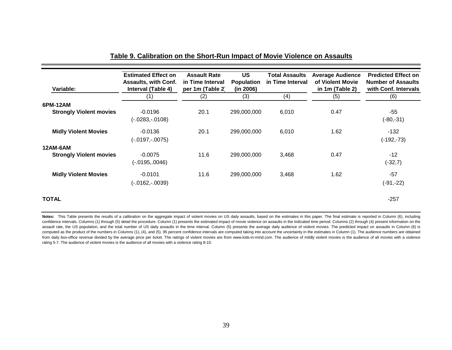| Variable:                      | <b>Estimated Effect on</b><br><b>Assaults, with Conf.</b><br>Interval (Table 4) | <b>Assault Rate</b><br>in Time Interval<br>per 1m (Table 2) | <b>US</b><br><b>Population</b><br>(in 2006) | <b>Total Assaults</b><br>in Time Interval | <b>Average Audience</b><br>of Violent Movie<br>in 1m (Table 2) | <b>Predicted Effect on</b><br><b>Number of Assaults</b><br>with Conf. Intervals |
|--------------------------------|---------------------------------------------------------------------------------|-------------------------------------------------------------|---------------------------------------------|-------------------------------------------|----------------------------------------------------------------|---------------------------------------------------------------------------------|
|                                | (1)                                                                             | (2)                                                         | (3)                                         | (4)                                       | (5)                                                            | (6)                                                                             |
| 6PM-12AM                       |                                                                                 |                                                             |                                             |                                           |                                                                |                                                                                 |
| <b>Strongly Violent movies</b> | $-0.0196$<br>(-.0283,-.0108)                                                    | 20.1                                                        | 299,000,000                                 | 6,010                                     | 0.47                                                           | -55<br>$(-80,-31)$                                                              |
| <b>Midly Violent Movies</b>    | $-0.0136$<br>(-.0197,-.0075)                                                    | 20.1                                                        | 299,000,000                                 | 6,010                                     | 1.62                                                           | $-132$<br>$(-192,-73)$                                                          |
| 12AM-6AM                       |                                                                                 |                                                             |                                             |                                           |                                                                |                                                                                 |
| <b>Strongly Violent movies</b> | $-0.0075$<br>$(-.0195,.0046)$                                                   | 11.6                                                        | 299,000,000                                 | 3,468                                     | 0.47                                                           | $-12$<br>$(-32,7)$                                                              |
| <b>Midly Violent Movies</b>    | $-0.0101$<br>(-.0162,-.0039)                                                    | 11.6                                                        | 299,000,000                                 | 3,468                                     | 1.62                                                           | $-57$<br>$(-91,-22)$                                                            |
| <b>TOTAL</b>                   |                                                                                 |                                                             |                                             |                                           |                                                                | $-257$                                                                          |

#### **Table 9. Calibration on the Short-Run Impact of Movie Violence on Assaults**

**Notes:** This Table presents the results of <sup>a</sup> calibration on the aggregate impact of violent movies on US daily assaults, based on the estimates in this paper. The final estimate is reported in Column (6), including confidence intervals. Columns (1) through (5) detail the procedure. Column (1) presents the estimated impact of movie violence on assaults in the indicated time period. Columns (2) through (4) present information on the assault rate, the US population, and the total number of US daily assaults in the time interval. Column (5) presents the average daily audience of violent movies. The predicted impact on assaults in Column (6) is computed as the product of the numbers in Columns (1), (4), and (5). 95 percent confidence intervals are computed taking into account the uncertainty in the estimates in Column (1). The audience numbers are obtained from daily box-office revenue divided by the average price per ticket. The ratings of violent movies are from www.kids-in-mind.com. The audience of mildly violent movies is the audience of all movies with a violence rating 5-7. The audience of violent movies is the audience of all movies with a violence rating 8-10.